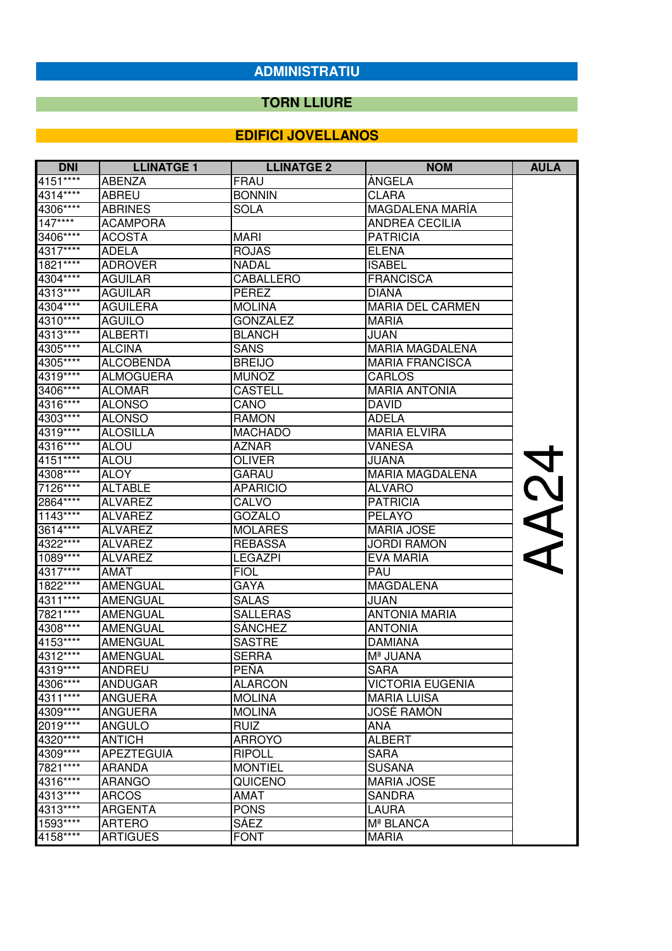#### **TORN LLIURE**

| <b>DNI</b> | <b>LLINATGE 1</b> | <b>LLINATGE 2</b> | <b>NOM</b>              | <b>AULA</b> |
|------------|-------------------|-------------------|-------------------------|-------------|
| $4151***$  | <b>ABENZA</b>     | FRAU              | ANGELA                  |             |
| 4314****   | <b>ABREU</b>      | <b>BONNIN</b>     | CLARA                   |             |
| 4306****   | <b>ABRINES</b>    | <b>SOLA</b>       | MAGDALENA MARÍA         |             |
| $147***$   | <b>ACAMPORA</b>   |                   | <b>ANDREA CECILIA</b>   |             |
| 3406****   | <b>ACOSTA</b>     | <b>MARI</b>       | <b>PATRICIA</b>         |             |
| 4317****   | <b>ADELA</b>      | <b>ROJAS</b>      | <b>ELENA</b>            |             |
| 1821****   | <b>ADROVER</b>    | NADAL             | <b>ISABEL</b>           |             |
| 4304****   | <b>AGUILAR</b>    | <b>CABALLERO</b>  | <b>FRANCISCA</b>        |             |
| 4313****   | <b>AGUILAR</b>    | PÉREZ             | <b>DIANA</b>            |             |
| 4304****   | <b>AGUILERA</b>   | <b>MOLINA</b>     | <b>MARIA DEL CARMEN</b> |             |
| 4310****   | <b>AGUILO</b>     | <b>GONZALEZ</b>   | <b>MARIA</b>            |             |
| 4313****   | <b>ALBERTI</b>    | <b>BLANCH</b>     | <b>JUAN</b>             |             |
| 4305****   | <b>ALCINA</b>     | <b>SANS</b>       | <b>MARIA MAGDALENA</b>  |             |
| 4305****   | <b>ALCOBENDA</b>  | <b>BREIJO</b>     | <b>MARIA FRANCISCA</b>  |             |
| 4319****   | <b>ALMOGUERA</b>  | <b>MUÑOZ</b>      | <b>CARLOS</b>           |             |
| 3406****   | <b>ALOMAR</b>     | <b>CASTELL</b>    | <b>MARIA ANTONIA</b>    |             |
| 4316****   | <b>ALONSO</b>     | CANO              | <b>DAVID</b>            |             |
| 4303****   | <b>ALONSO</b>     | <b>RAMON</b>      | <b>ADELA</b>            |             |
| 4319****   | <b>ALOSILLA</b>   | <b>MACHADO</b>    | <b>MARIA ELVIRA</b>     |             |
| 4316****   | <b>ALOU</b>       | <b>AZNAR</b>      | <b>VANESA</b>           |             |
| 4151****   | <b>ALOU</b>       | <b>OLIVER</b>     | JUANA                   |             |
| 4308****   | <b>ALOY</b>       | <b>GARAU</b>      | <b>MARIA MAGDALENA</b>  |             |
| 7126****   | <b>ALTABLE</b>    | <b>APARICIO</b>   | <b>ALVARO</b>           |             |
| 2864****   | <b>ALVAREZ</b>    | CALVO             | <b>PATRICIA</b>         |             |
| 1143****   | <b>ALVAREZ</b>    | <b>GOZALO</b>     | <b>PELAYO</b>           | <b>NANA</b> |
| $3614***$  | <b>ALVAREZ</b>    | <b>MOLARES</b>    | <b>MARIA JOSE</b>       |             |
| 4322****   | <b>ALVAREZ</b>    | <b>REBASSA</b>    | <b>JORDI RAMON</b>      |             |
| 1089****   | <b>ÁLVAREZ</b>    | <b>LEGAZPI</b>    | EVA MARÍA               |             |
| 4317****   | AMAT              | <b>FIOL</b>       | PAU                     |             |
| 1822****   | <b>AMENGUAL</b>   | <b>GAYA</b>       | <b>MAGDALENA</b>        |             |
| 4311****   | <b>AMENGUAL</b>   | <b>SALAS</b>      | JUAN                    |             |
| 7821****   | <b>AMENGUAL</b>   | <b>SALLERAS</b>   | <b>ANTONIA MARIA</b>    |             |
| 4308****   | <b>AMENGUAL</b>   | <b>SÁNCHEZ</b>    | <b>ANTONIA</b>          |             |
| 4153****   | <b>AMENGUAL</b>   | <b>SASTRE</b>     | <b>DAMIANA</b>          |             |
| 4312****   | <b>AMENGUAL</b>   | <b>SERRA</b>      | Mª JUANA                |             |
| 4319****   | <b>ANDREU</b>     | <b>PENA</b>       | <b>SARA</b>             |             |
| 4306****   | <b>ANDUGAR</b>    | <b>ALARCON</b>    | <b>VICTORIA EUGENIA</b> |             |
| 4311****   | <b>ANGUERA</b>    | <b>MOLINA</b>     | <b>MARIA LUISA</b>      |             |
| 4309****   | <b>ANGUERA</b>    | <b>MOLINA</b>     | JOSÉ RAMÓN              |             |
| 2019 ****  | <b>ANGULO</b>     | <b>RUIZ</b>       | <b>ANA</b>              |             |
| 4320****   | <b>ANTICH</b>     | <b>ARROYO</b>     | <b>ALBERT</b>           |             |
| 4309****   | <b>APEZTEGUIA</b> | <b>RIPOLL</b>     | <b>SARA</b>             |             |
| 7821****   | <b>ARANDA</b>     | <b>MONTIEL</b>    | <b>SUSANA</b>           |             |
| 4316****   | <b>ARANGO</b>     | QUICENO           | <b>MARIA JOSE</b>       |             |
| 4313****   | <b>ARCOS</b>      | AMAT              | <b>SANDRA</b>           |             |
| 4313****   | <b>ARGENTA</b>    | <b>PONS</b>       | <b>LAURA</b>            |             |
| 1593****   | <b>ARTERO</b>     | <b>SÁEZ</b>       | Mª BLANCA               |             |
| 4158****   | <b>ARTIGUES</b>   | <b>FONT</b>       | <b>MARIA</b>            |             |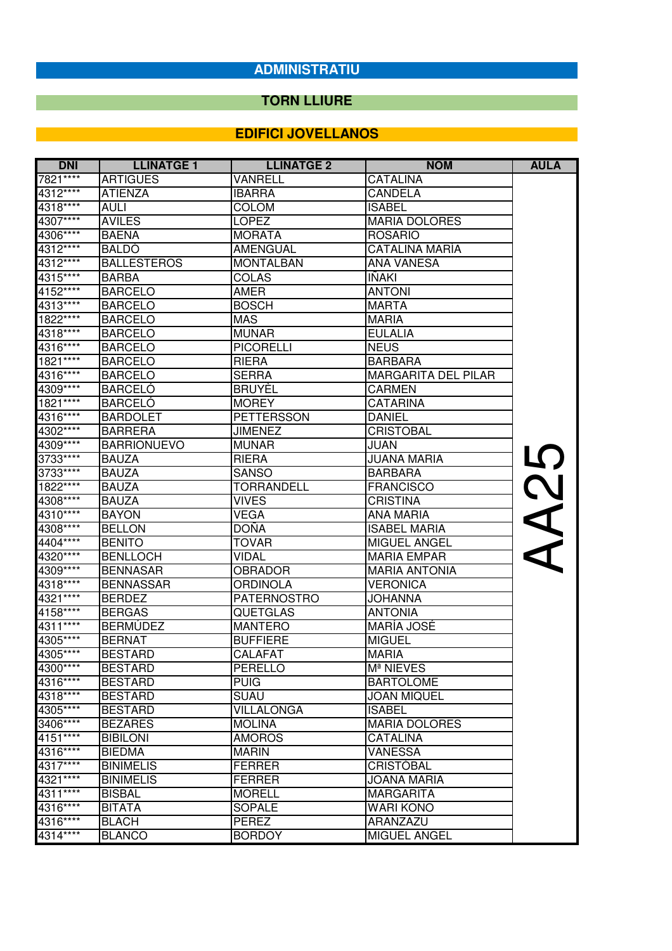## **TORN LLIURE**

| <b>DNI</b> | <b>LLINATGE 1</b>  | <b>LLINATGE 2</b>  | <b>NOM</b>                 | <b>AULA</b> |
|------------|--------------------|--------------------|----------------------------|-------------|
| 7821****   | <b>ARTIGUES</b>    | VANRELL            | CATALINA                   |             |
| 4312****   | <b>ATIENZA</b>     | <b>IBARRA</b>      | <b>CANDELA</b>             |             |
| 4318****   | AULI               | <b>COLOM</b>       | <b>ISABEL</b>              |             |
| 4307****   | <b>AVILES</b>      | <b>LOPEZ</b>       | <b>MARIA DOLORES</b>       |             |
| 4306****   | <b>BAENA</b>       | <b>MORATA</b>      | <b>ROSARIO</b>             |             |
| 4312****   | <b>BALDO</b>       | <b>AMENGUAL</b>    | <b>CATALINA MARÍA</b>      |             |
| 4312****   | <b>BALLESTEROS</b> | <b>MONTALBAN</b>   | ANA VANESA                 |             |
| 4315****   | <b>BARBA</b>       | <b>COLAS</b>       | <b>IÑAKI</b>               |             |
| 4152****   | <b>BARCELO</b>     | AMER               | <b>ANTONI</b>              |             |
| 4313****   | <b>BARCELO</b>     | <b>BOSCH</b>       | <b>MARTA</b>               |             |
| 1822****   | <b>BARCELO</b>     | <b>MAS</b>         | <b>MARIA</b>               |             |
| 4318****   | <b>BARCELO</b>     | <b>MUNAR</b>       | <b>EULALIA</b>             |             |
| 4316****   | <b>BARCELO</b>     | <b>PICORELLI</b>   | <b>NEUS</b>                |             |
| 1821****   | <b>BARCELO</b>     | <b>RIERA</b>       | <b>BARBARA</b>             |             |
| 4316****   | <b>BARCELO</b>     | <b>SERRA</b>       | <b>MARGARITA DEL PILAR</b> |             |
| 4309****   | <b>BARCELÓ</b>     | <b>BRUYEL</b>      | <b>CARMEN</b>              |             |
| 1821****   | <b>BARCELO</b>     | <b>MOREY</b>       | <b>CATARINA</b>            |             |
| 4316****   | <b>BARDOLET</b>    | <b>PETTERSSON</b>  | <b>DANIEL</b>              |             |
| 4302****   | <b>BARRERA</b>     | <b>JIMENEZ</b>     | <b>CRISTOBAL</b>           |             |
| 4309****   | <b>BARRIONUEVO</b> | <b>MUNAR</b>       | JUAN                       |             |
| 3733 ****  | <b>BAUZA</b>       | <b>RIERA</b>       | <b>JUANA MARIA</b>         | <u>ဟု</u>   |
| 3733****   | <b>BAUZA</b>       | <b>SANSO</b>       | <b>BARBARA</b>             |             |
| 1822****   | <b>BAUZA</b>       | TORRANDELL         | <b>FRANCISCO</b>           |             |
| 4308****   | <b>BAUZA</b>       | <b>VIVES</b>       | <b>CRISTINA</b>            |             |
| 4310****   | <b>BAYON</b>       | <b>VEGA</b>        | ANA MARIA                  | <b>NA2</b>  |
| 4308****   | <b>BELLON</b>      | <b>DOÑA</b>        | <b>ISABEL MARIA</b>        |             |
| 4404 ****  | <b>BENITO</b>      | <b>TOVAR</b>       | MIGUEL ANGEL               |             |
| 4320****   | <b>BENLLOCH</b>    | VIDAL              | <b>MARIA EMPAR</b>         |             |
| 4309****   | <b>BENNASAR</b>    | <b>OBRADOR</b>     | <b>MARIA ANTONIA</b>       |             |
| 4318****   | <b>BENNASSAR</b>   | ORDINOLA           | <b>VERONICA</b>            |             |
| 4321 ****  | <b>BERDEZ</b>      | <b>PATERNOSTRO</b> | <b>JOHANNA</b>             |             |
| 4158****   | <b>BERGAS</b>      | <b>QUETGLAS</b>    | <b>ANTONIA</b>             |             |
| 4311****   | <b>BERMÚDEZ</b>    | <b>MANTERO</b>     | MARÍA JOSÉ                 |             |
| 4305****   | <b>BERNAT</b>      | <b>BUFFIERE</b>    | <b>MIGUEL</b>              |             |
| 4305****   | <b>BESTARD</b>     | CALAFAT            | <b>MARIA</b>               |             |
| 4300****   | <b>BESTARD</b>     | PERELLO            | M <sup>ª</sup> NIEVES      |             |
| 4316****   | <b>BESTARD</b>     | <b>PUIG</b>        | <b>BARTOLOME</b>           |             |
| 4318****   | <b>BESTARD</b>     | <b>SUAU</b>        | <b>JOAN MIQUEL</b>         |             |
| 4305****   | <b>BESTARD</b>     | <b>VILLALONGA</b>  | <b>ISABEL</b>              |             |
| 3406****   | <b>BEZARES</b>     | <b>MOLINA</b>      | <b>MARIA DOLORES</b>       |             |
| 4151****   | <b>BIBILONI</b>    | <b>AMOROS</b>      | CATALINA                   |             |
| 4316****   | <b>BIEDMA</b>      | <b>MARIN</b>       | <b>VANESSA</b>             |             |
| 4317****   | <b>BINIMELIS</b>   | <b>FERRER</b>      | <b>CRISTÓBAL</b>           |             |
| 4321****   | <b>BINIMELIS</b>   | <b>FERRER</b>      | <b>JOANA MARIA</b>         |             |
| 4311****   | <b>BISBAL</b>      | <b>MORELL</b>      | <b>MARGARITA</b>           |             |
| 4316****   | <b>BITATA</b>      | SOPALE             | <b>WARI KONO</b>           |             |
| 4316****   | <b>BLACH</b>       | <b>PEREZ</b>       | ARANZAZU                   |             |
| 4314****   | <b>BLANCO</b>      | <b>BORDOY</b>      | <b>MIGUEL ANGEL</b>        |             |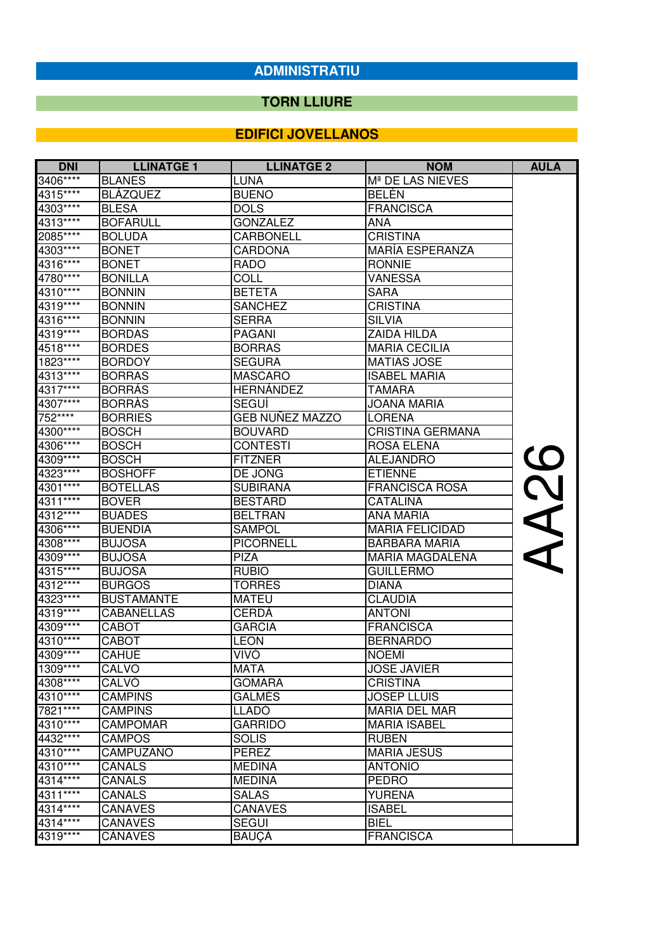## **TORN LLIURE**

| <b>DNI</b> | <b>LLINATGE 1</b> | <b>LLINATGE 2</b> | <b>NOM</b>                   | <b>AULA</b>              |
|------------|-------------------|-------------------|------------------------------|--------------------------|
| 3406****   | <b>BLANES</b>     | LUNA              | M <sup>ª</sup> DE LAS NIEVES |                          |
| 4315****   | <b>BLAZQUEZ</b>   | <b>BUENO</b>      | <b>BELEN</b>                 |                          |
| 4303****   | <b>BLESA</b>      | <b>DOLS</b>       | <b>FRANCISCA</b>             |                          |
| 4313****   | <b>BOFARULL</b>   | <b>GONZALEZ</b>   | ANA                          |                          |
| 2085 ****  | <b>BOLUDA</b>     | <b>CARBONELL</b>  | <b>CRISTINA</b>              |                          |
| 4303****   | <b>BONET</b>      | <b>CARDONA</b>    | MARÍA ESPERANZA              |                          |
| 4316****   | <b>BONET</b>      | <b>RADO</b>       | <b>RONNIE</b>                |                          |
| 4780****   | <b>BONILLA</b>    | <b>COLL</b>       | VANESSA                      |                          |
| 4310****   | <b>BONNIN</b>     | <b>BETETA</b>     | <b>SARA</b>                  |                          |
| 4319****   | <b>BONNIN</b>     | <b>SANCHEZ</b>    | <b>CRISTINA</b>              |                          |
| 4316****   | <b>BONNIN</b>     | <b>SERRA</b>      | <b>SILVIA</b>                |                          |
| 4319****   | <b>BORDAS</b>     | <b>PAGANI</b>     | ZAIDA HILDA                  |                          |
| 4518****   | <b>BORDES</b>     | <b>BORRAS</b>     | <b>MARIA CECILIA</b>         |                          |
| 1823****   | <b>BORDOY</b>     | <b>SEGURA</b>     | <b>MATIAS JOSE</b>           |                          |
| 4313****   | <b>BORRAS</b>     | <b>MASCARO</b>    | <b>ISABEL MARIA</b>          |                          |
| 4317****   | <b>BORRÁS</b>     | <b>HERNÁNDEZ</b>  | TAMARA                       |                          |
| 4307****   | <b>BORRAS</b>     | <b>SEGUÍ</b>      | JOANA MARIA                  |                          |
| 752****    | <b>BORRIES</b>    | GEB NUÑEZ MAZZO   | <b>LORENA</b>                |                          |
| 4300****   | <b>BOSCH</b>      | <b>BOUVARD</b>    | <b>CRISTINA GERMANA</b>      |                          |
| 4306****   | <b>BOSCH</b>      | <b>CONTESTI</b>   | <b>ROSA ELENA</b>            |                          |
| 4309****   | <b>BOSCH</b>      | <b>FITZNER</b>    | <b>ALEJANDRO</b>             | $\overline{\mathcal{O}}$ |
| 4323****   | <b>BOSHOFF</b>    | DE JONG           | <b>ETIENNE</b>               |                          |
| 4301****   | <b>BOTELLAS</b>   | <b>SUBIRANA</b>   | <b>FRANCISCA ROSA</b>        | <b>C</b>                 |
| 4311****   | <b>BOVER</b>      | <b>BESTARD</b>    | <b>CATALINA</b>              |                          |
| 4312****   | <b>BUADES</b>     | <b>BELTRAN</b>    | ANA MARIA                    |                          |
| 4306****   | <b>BUENDIA</b>    | <b>SAMPOL</b>     | <b>MARIA FELICIDAD</b>       |                          |
| 4308****   | <b>BUJOSA</b>     | <b>PICORNELL</b>  | BÀRBARA MARIA                |                          |
| 4309****   | <b>BUJOSA</b>     | <b>PIZA</b>       | <b>MARIA MAGDALENA</b>       |                          |
| 4315****   | <b>BUJOSA</b>     | <b>RUBIO</b>      | <b>GUILLERMO</b>             |                          |
| 4312****   | <b>BURGOS</b>     | <b>TORRES</b>     | <b>DIANA</b>                 |                          |
| 4323****   | <b>BUSTAMANTE</b> | <b>MATEU</b>      | <b>CLAUDIA</b>               |                          |
| 4319****   | <b>CABANELLAS</b> | CERDÀ             | <b>ANTONI</b>                |                          |
| 4309****   | <b>CABOT</b>      | <b>GARCIA</b>     | <b>FRANCISCA</b>             |                          |
| 4310****   | <b>CABOT</b>      | <b>LEON</b>       | <b>BERNARDO</b>              |                          |
| 4309****   | CAHUÉ             | VIVÓ              | <b>NOEMÍ</b>                 |                          |
| 1309****   | CALVO             | <b>MATA</b>       | <b>JOSE JAVIER</b>           |                          |
| 4308****   | CALVÓ             | GOMARA            | <b>CRISTINA</b>              |                          |
| 4310****   | <b>CAMPINS</b>    | GALMÉS            | <b>JOSEP LLUIS</b>           |                          |
| 7821****   | <b>CAMPINS</b>    | <b>LLADO</b>      | <b>MARIA DEL MAR</b>         |                          |
| 4310****   | <b>CAMPOMAR</b>   | <b>GARRIDO</b>    | <b>MARIA ISABEL</b>          |                          |
| 4432****   | <b>CAMPOS</b>     | <b>SOLIS</b>      | <b>RUBEN</b>                 |                          |
| 4310****   | CAMPUZANO         | <b>PEREZ</b>      | <b>MARIA JESUS</b>           |                          |
| 4310****   | <b>CANALS</b>     | <b>MEDINA</b>     | <b>ANTONIO</b>               |                          |
| 4314****   | <b>CANALS</b>     | <b>MEDINA</b>     | <b>PEDRO</b>                 |                          |
| 4311****   | <b>CANALS</b>     | <b>SALAS</b>      | <b>YURENA</b>                |                          |
| 4314****   | <b>CANAVES</b>    | <b>CANAVES</b>    | <b>ISABEL</b>                |                          |
| 4314****   | <b>CANAVES</b>    | <b>SEGUI</b>      | <b>BIEL</b>                  |                          |
| 4319****   | CÀNAVES           | BAUÇÀ             | <b>FRANCISCA</b>             |                          |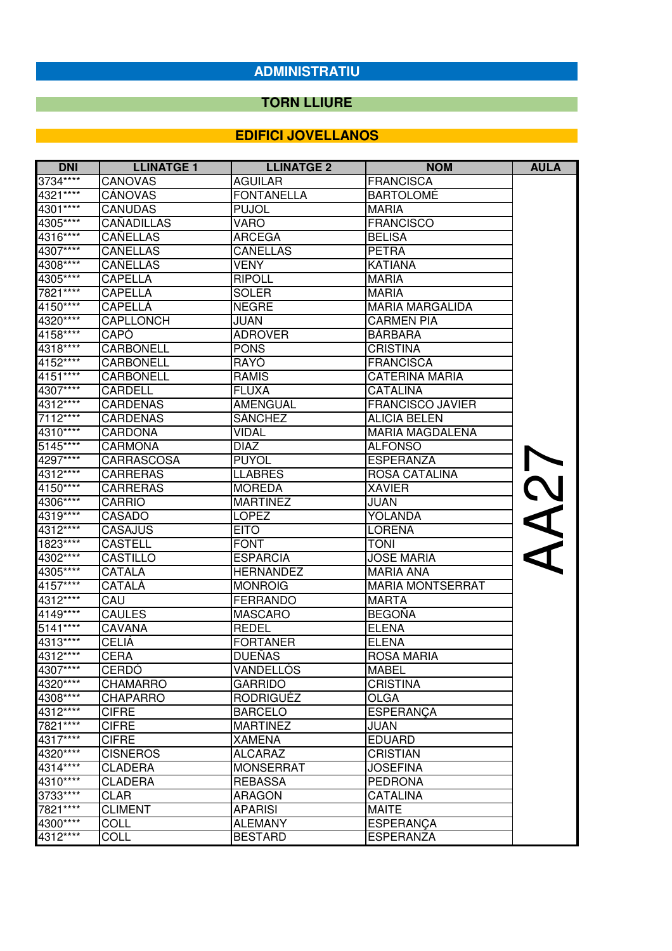#### **TORN LLIURE**

| <b>DNI</b> | <b>LLINATGE 1</b> | <b>LLINATGE 2</b> | <b>NOM</b>              | <b>AULA</b> |
|------------|-------------------|-------------------|-------------------------|-------------|
| 3734****   | CANOVAS           | <b>AGUILAR</b>    | <b>FRANCISCA</b>        |             |
| 4321****   | CÁNOVAS           | <b>FONTANELLA</b> | <b>BARTOLOME</b>        |             |
| 4301****   | <b>CANUDAS</b>    | <b>PUJOL</b>      | <b>MARIA</b>            |             |
| 4305****   | <b>CAÑADILLAS</b> | VARO              | <b>FRANCISCO</b>        |             |
| 4316****   | CAÑELLAS          | <b>ARCEGA</b>     | <b>BELISA</b>           |             |
| 4307****   | CAÑELLAS          | CAÑELLAS          | <b>PETRA</b>            |             |
| 4308****   | <b>CAÑELLAS</b>   | VENY              | <b>KATIANA</b>          |             |
| 4305****   | <b>CAPELLA</b>    | <b>RIPOLL</b>     | <b>MARIA</b>            |             |
| 7821****   | <b>CAPELLA</b>    | <b>SOLER</b>      | <b>MARIA</b>            |             |
| 4150****   | <b>CAPELLA</b>    | <b>NEGRE</b>      | <b>MARIA MARGALIDA</b>  |             |
| 4320****   | CAPLLONCH         | JUAN              | <b>CARMEN PIA</b>       |             |
| 4158****   | CAPÓ              | <b>ADROVER</b>    | <b>BARBARA</b>          |             |
| 4318****   | <b>CARBONELL</b>  | <b>PONS</b>       | <b>CRISTINA</b>         |             |
| 4152****   | <b>CARBONELL</b>  | RAYÓ              | <b>FRANCISCA</b>        |             |
| 4151****   | <b>CARBONELL</b>  | <b>RAMIS</b>      | <b>CATERINA MARIA</b>   |             |
| 4307****   | <b>CARDELL</b>    | <b>FLUXA</b>      | <b>CATALINA</b>         |             |
| $4312***$  | <b>CARDENAS</b>   | <b>AMENGUAL</b>   | <b>FRANCISCO JAVIER</b> |             |
| 7112****   | <b>CÁRDENAS</b>   | <b>SÁNCHEZ</b>    | <b>ALICIA BELÉN</b>     |             |
| 4310****   | <b>CARDONA</b>    | VIDAL             | <b>MARIA MAGDALENA</b>  |             |
| 5145****   | <b>CARMONA</b>    | <b>DIAZ</b>       | <b>ALFONSO</b>          |             |
| 4297****   | CARRASCOSA        | <b>PUYOL</b>      | <b>ESPERANZA</b>        | AA27        |
| 4312****   | <b>CARRERAS</b>   | <b>LLABRES</b>    | <b>ROSA CATALINA</b>    |             |
| 4150****   | <b>CARRERAS</b>   | <b>MOREDA</b>     | <b>XAVIER</b>           |             |
| 4306****   | <b>CARRIO</b>     | <b>MARTINEZ</b>   | JUAN                    |             |
| 4319****   | <b>CASADO</b>     | <b>LOPEZ</b>      | YOLANDA                 |             |
| 4312****   | <b>CASAJUS</b>    | <b>EITO</b>       | <b>LORENA</b>           |             |
| 1823 ****  | <b>CASTELL</b>    | <b>FONT</b>       | <b>TONI</b>             |             |
| 4302****   | <b>CASTILLO</b>   | <b>ESPARCIA</b>   | <b>JOSE MARIA</b>       |             |
| 4305****   | CATALA            | <b>HERNANDEZ</b>  | <b>MARIA ANA</b>        |             |
| 4157****   | CATALÀ            | <b>MONROIG</b>    | <b>MARIA MONTSERRAT</b> |             |
| 4312****   | CAU               | <b>FERRANDO</b>   | <b>MARTA</b>            |             |
| 4149****   | <b>CAULES</b>     | <b>MASCARO</b>    | <b>BEGOÑA</b>           |             |
| 5141****   | <b>CAVANA</b>     | <b>REDEL</b>      | <b>ELENA</b>            |             |
| 4313****   | <b>CELIÁ</b>      | <b>FORTANER</b>   | <b>ELENA</b>            |             |
| 4312****   | <b>CERA</b>       | <b>DUEÑAS</b>     | <b>ROSA MARIA</b>       |             |
| 4307****   | CERDO             | VANDELLOS         | <b>MABEL</b>            |             |
| 4320****   | CHAMARRO          | <b>GARRIDO</b>    | <b>CRISTINA</b>         |             |
| 4308****   | <b>CHAPARRO</b>   | <b>RODRIGUÉZ</b>  | <b>OLGA</b>             |             |
| 4312****   | <b>CIFRE</b>      | <b>BARCELO</b>    | <b>ESPERANÇA</b>        |             |
| 7821****   | <b>CIFRE</b>      | <b>MARTINEZ</b>   | JUAN                    |             |
| 4317****   | <b>CIFRE</b>      | <b>XAMENA</b>     | <b>EDUARD</b>           |             |
| 4320****   | <b>CISNEROS</b>   | <b>ALCARAZ</b>    | <b>CRISTIAN</b>         |             |
| $4314***$  | <b>CLADERA</b>    | <b>MONSERRAT</b>  | <b>JOSEFINA</b>         |             |
| 4310****   | <b>CLADERA</b>    | <b>REBASSA</b>    | <b>PEDRONA</b>          |             |
| 3733 ****  | CLAR              | <b>ARAGON</b>     | <b>CATALINA</b>         |             |
| 7821****   | <b>CLIMENT</b>    | <b>APARISI</b>    | <b>MAITE</b>            |             |
| 4300****   | <b>COLL</b>       | <b>ALEMANY</b>    | <b>ESPERANÇA</b>        |             |
| 4312****   | COLL              | <b>BESTARD</b>    | <b>ESPERANZA</b>        |             |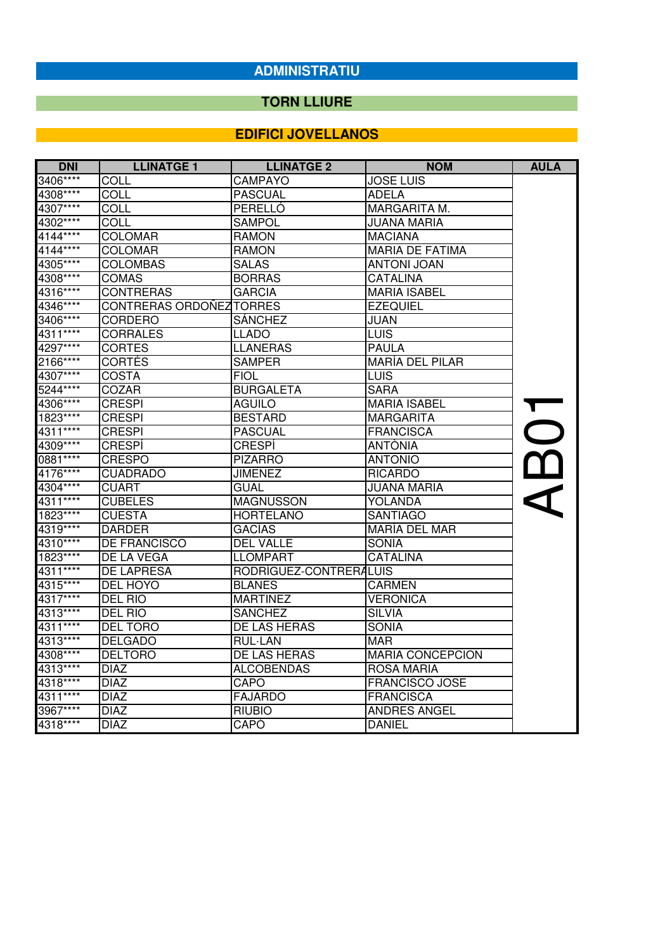## **TORN LLIURE**

| <b>DNI</b> | <b>LLINATGE 1</b>        | <b>LLINATGE 2</b>      | <b>NOM</b>              | <b>AULA</b> |
|------------|--------------------------|------------------------|-------------------------|-------------|
| 3406****   | <b>COLL</b>              | <b>CAMPAYO</b>         | <b>JOSE LUIS</b>        |             |
| 4308****   | <b>COLL</b>              | <b>PASCUAL</b>         | <b>ADELA</b>            |             |
| 4307****   | <b>COLL</b>              | PERELLÓ                | MARGARITA M.            |             |
| 4302****   | COLL                     | <b>SAMPOL</b>          | <b>JUANA MARIA</b>      |             |
| 4144****   | <b>COLOMAR</b>           | <b>RAMON</b>           | <b>MACIANA</b>          |             |
| 4144****   | <b>COLOMAR</b>           | <b>RAMON</b>           | <b>MARIA DE FATIMA</b>  |             |
| 4305****   | <b>COLOMBAS</b>          | <b>SALAS</b>           | <b>ANTONI JOAN</b>      |             |
| 4308****   | <b>COMAS</b>             | <b>BORRAS</b>          | <b>CATALINA</b>         |             |
| 4316****   | <b>CONTRERAS</b>         | <b>GARCIA</b>          | <b>MARIA ISABEL</b>     |             |
| 4346****   | CONTRERAS ORDOÑEZ TORRES |                        | <b>EZEQUIEL</b>         |             |
| 3406****   | CORDERO                  | <b>SÁNCHEZ</b>         | <b>JUAN</b>             |             |
| 4311****   | <b>CORRALES</b>          | LLADO                  | <b>LUIS</b>             |             |
| 4297****   | <b>CORTES</b>            | <b>LLANERAS</b>        | <b>PAULA</b>            |             |
| 2166****   | <b>CORTÉS</b>            | <b>SAMPER</b>          | <b>MARÍA DEL PILAR</b>  |             |
| 4307****   | <b>COSTA</b>             | FIOL                   | <b>LUIS</b>             |             |
| 5244****   | <b>COZAR</b>             | <b>BURGALETA</b>       | <b>SARA</b>             |             |
| 4306****   | <b>CRESPI</b>            | <b>AGUILO</b>          | <b>MARIA ISABEL</b>     |             |
| 1823****   | <b>CRESPI</b>            | <b>BESTARD</b>         | MARGARITA               |             |
| 4311****   | <b>CRESPI</b>            | <b>PASCUAL</b>         | <b>FRANCISCA</b>        | ABO         |
| 4309****   | <b>CRESPI</b>            | <b>CRESPI</b>          | <b>ANTÒNIA</b>          |             |
| 0881****   | <b>CRESPO</b>            | <b>PIZARRO</b>         | <b>ANTONIO</b>          |             |
| 4176****   | <b>CUADRADO</b>          | <b>JIMENEZ</b>         | <b>RICARDO</b>          |             |
| 4304****   | <b>CUART</b>             | <b>GUAL</b>            | <b>JUANA MARIA</b>      |             |
| 4311****   | <b>CUBELES</b>           | <b>MAGNUSSON</b>       | <b>YOLANDA</b>          |             |
| 1823****   | <b>CUESTA</b>            | <b>HORTELANO</b>       | <b>SANTIAGO</b>         |             |
| 4319****   | <b>DARDER</b>            | GACÍAS                 | MARÍA DEL MAR           |             |
| 4310****   | DE FRANCISCO             | <b>DEL VALLE</b>       | <b>SONIA</b>            |             |
| 1823****   | DE LA VEGA               | <b>LLOMPART</b>        | <b>CATALINA</b>         |             |
| 4311****   | <b>DE LAPRESA</b>        | RODRÍGUEZ-CONTRERALUIS |                         |             |
| 4315****   | DEL HOYO                 | <b>BLANES</b>          | <b>CARMEN</b>           |             |
| 4317****   | DEL RIO                  | <b>MARTINEZ</b>        | <b>VERONICA</b>         |             |
| 4313****   | DEL RIO                  | <b>SANCHEZ</b>         | <b>SILVIA</b>           |             |
| $4311***$  | <b>DEL TORO</b>          | DE LAS HERAS           | <b>SONIA</b>            |             |
| 4313****   | <b>DELGADO</b>           | <b>RUL-LAN</b>         | <b>MAR</b>              |             |
| 4308****   | <b>DELTORO</b>           | DE LAS HERAS           | <b>MARIA CONCEPCION</b> |             |
| 4313****   | <b>DIAZ</b>              | <b>ALCOBENDAS</b>      | <b>ROSA MARIA</b>       |             |
| 4318****   | <b>DIAZ</b>              | CAPO                   | <b>FRANCISCO JOSE</b>   |             |
| $4311***$  | <b>DIAZ</b>              | <b>FAJARDO</b>         | <b>FRANCISCA</b>        |             |
| 3967****   | <b>DIAZ</b>              | <b>RIUBIO</b>          | <b>ANDRES ANGEL</b>     |             |
| 4318****   | <b>DÍAZ</b>              | CAPÓ                   | <b>DANIEL</b>           |             |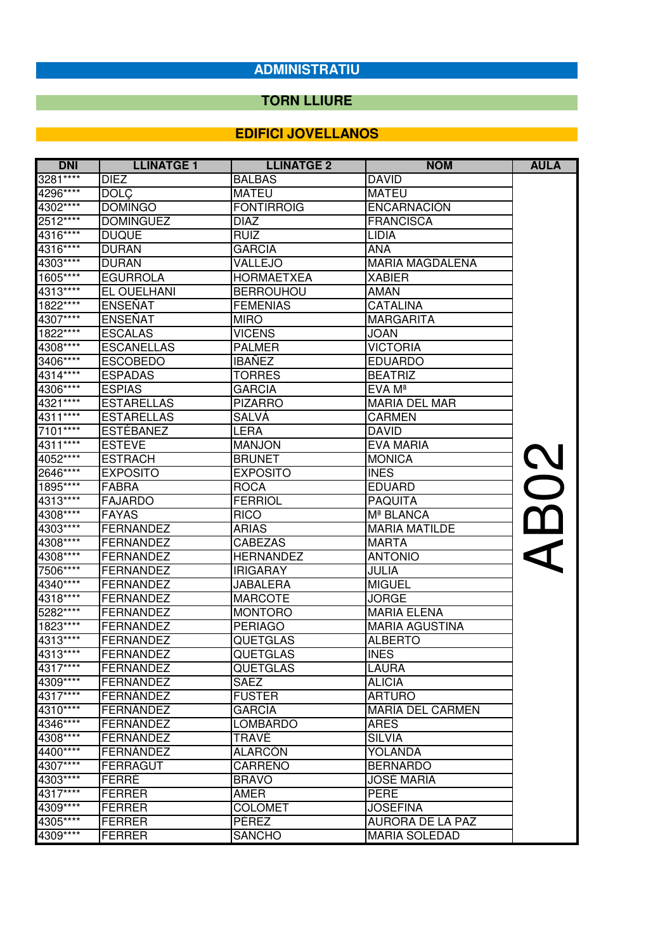## **TORN LLIURE**

| <b>DNI</b> | <b>LLINATGE 1</b> | <b>LLINATGE 2</b> | <b>NOM</b>              | <b>AULA</b>       |
|------------|-------------------|-------------------|-------------------------|-------------------|
| 3281****   | <b>DIEZ</b>       | <b>BALBAS</b>     | <b>DAVID</b>            |                   |
| 4296****   | <b>DOLÇ</b>       | <b>MATEU</b>      | <b>MATEU</b>            |                   |
| 4302****   | <b>DOMINGO</b>    | <b>FONTIRROIG</b> | <b>ENCARNACIÓN</b>      |                   |
| $2512***$  | <b>DOMINGUEZ</b>  | DIAZ              | <b>FRANCISCA</b>        |                   |
| 4316****   | <b>DUQUE</b>      | RUIZ              | LIDIA                   |                   |
| 4316****   | <b>DURAN</b>      | <b>GARCIA</b>     | ANA                     |                   |
| 4303****   | <b>DURAN</b>      | VALLEJO           | <b>MARIA MAGDALENA</b>  |                   |
| 1605****   | <b>EGURROLA</b>   | <b>HORMAETXEA</b> | <b>XABIER</b>           |                   |
| 4313****   | EL OUELHANI       | <b>BERROUHOU</b>  | AMAN                    |                   |
| 1822****   | <b>ENSEÑAT</b>    | <b>FEMENIAS</b>   | <b>CATALINA</b>         |                   |
| 4307****   | <b>ENSEÑAT</b>    | <b>MIRO</b>       | <b>MARGARITA</b>        |                   |
| 1822****   | <b>ESCALAS</b>    | <b>VICENS</b>     | JOAN                    |                   |
| 4308****   | <b>ESCANELLAS</b> | <b>PALMER</b>     | <b>VICTORIA</b>         |                   |
| 3406****   | <b>ESCOBEDO</b>   | <b>IBAÑEZ</b>     | <b>EDUARDO</b>          |                   |
| 4314****   | <b>ESPADAS</b>    | TORRES            | <b>BEATRIZ</b>          |                   |
| 4306****   | <b>ESPIAS</b>     | <b>GARCIA</b>     | EVA Mª                  |                   |
| 4321****   | <b>ESTARELLAS</b> | <b>PIZARRO</b>    | <b>MARIA DEL MAR</b>    |                   |
| 4311****   | <b>ESTARELLAS</b> | SALVÄ             | <b>CARMEN</b>           |                   |
| 7101****   | <b>ESTÉBANEZ</b>  | LERA              | DAVID                   |                   |
| $4311***$  | <b>ESTEVE</b>     | <b>MANJON</b>     | EVA MARIA               |                   |
| 4052****   | <b>ESTRACH</b>    | <b>BRUNET</b>     | <b>MONICA</b>           |                   |
| 2646****   | <b>EXPOSITO</b>   | <b>EXPOSITO</b>   | <b>INES</b>             | $\rm\thinspace S$ |
| 1895****   | <b>FABRA</b>      | <b>ROCA</b>       | <b>EDUARD</b>           |                   |
| 4313****   | <b>FAJARDO</b>    | <b>FERRIOL</b>    | <b>PAQUITA</b>          |                   |
| 4308****   | <b>FAYAS</b>      | <b>RICO</b>       | Mª BLANCA               |                   |
| 4303****   | <b>FERNANDEZ</b>  | <b>ARIAS</b>      | <b>MARIA MATILDE</b>    |                   |
| 4308****   | <b>FERNANDEZ</b>  | <b>CABEZAS</b>    | <b>MARTA</b>            |                   |
| 4308****   | <b>FERNANDEZ</b>  | <b>HERNANDEZ</b>  | <b>ANTONIO</b>          |                   |
| 7506****   | <b>FERNANDEZ</b>  | <b>IRIGARAY</b>   | <b>JULIA</b>            |                   |
| 4340****   | <b>FERNANDEZ</b>  | JABALERA          | <b>MIGUEL</b>           |                   |
| 4318****   | <b>FERNANDEZ</b>  | <b>MARCOTE</b>    | <b>JORGE</b>            |                   |
| 5282****   | <b>FERNANDEZ</b>  | <b>MONTORO</b>    | <b>MARIA ELENA</b>      |                   |
| 1823****   | <b>FERNANDEZ</b>  | <b>PERIAGO</b>    | <b>MARIA AGUSTINA</b>   |                   |
| 4313****   | <b>FERNANDEZ</b>  | <b>QUETGLAS</b>   | <b>ALBERTO</b>          |                   |
| 4313****   | <b>FERNANDEZ</b>  | <b>QUETGLAS</b>   | <b>INES</b>             |                   |
| 4317****   | <b>FERNANDEZ</b>  | <b>QUETGLAS</b>   | <b>LAURA</b>            |                   |
| 4309****   | FERNANDEZ         | <b>SAEZ</b>       | <b>ALICIA</b>           |                   |
| 4317****   | FERNÁNDEZ         | <b>FUSTER</b>     | <b>ARTURO</b>           |                   |
| 4310****   | FERNÁNDEZ         | GARCÍA            | <b>MARÍA DEL CARMEN</b> |                   |
| 4346****   | FERNÁNDEZ         | <b>LOMBARDO</b>   | <b>ARES</b>             |                   |
| 4308****   | FERNÁNDEZ         | TRAVÉ             | <b>SILVIA</b>           |                   |
| 4400****   | FERNÁNDEZ         | ALARCÓN           | <b>YOLANDA</b>          |                   |
| 4307****   | <b>FERRAGUT</b>   | CARREÑO           | <b>BERNARDO</b>         |                   |
| 4303****   | FERRÉ             | <b>BRAVO</b>      | JOSÉ MARÍA              |                   |
| 4317****   | <b>FERRER</b>     | AMER              | <b>PERE</b>             |                   |
| 4309****   | <b>FERRER</b>     | <b>COLOMET</b>    | <b>JOSEFINA</b>         |                   |
| 4305****   | <b>FERRER</b>     | PÉREZ             | AURORA DE LA PAZ        |                   |
| 4309****   | <b>FERRER</b>     | <b>SANCHO</b>     | <b>MARIA SOLEDAD</b>    |                   |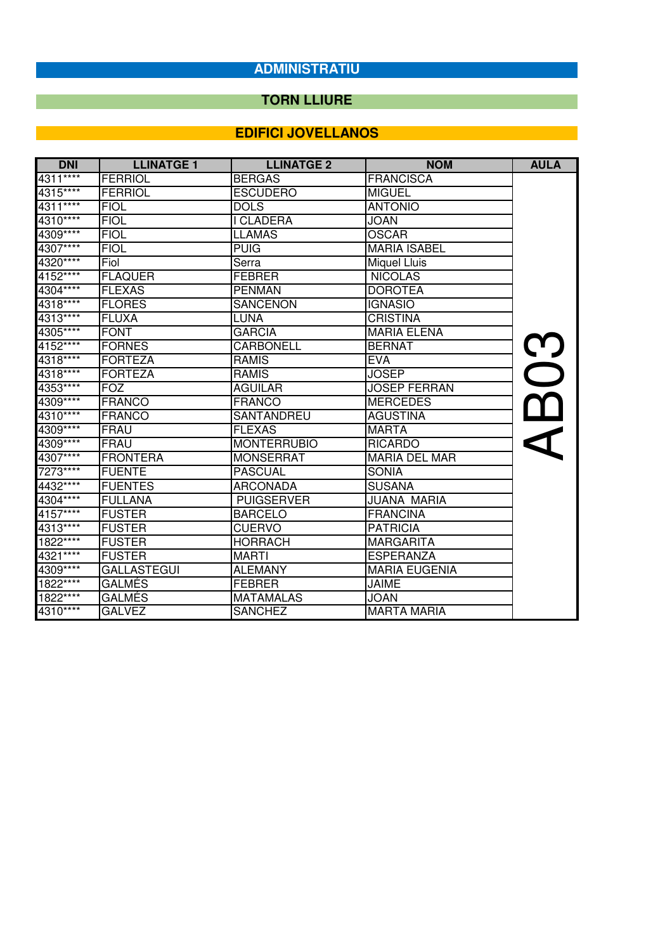#### **TORN LLIURE**

| <b>DNI</b> | <b>LLINATGE 1</b>  | <b>LLINATGE 2</b>  | <b>NOM</b>           | <b>AULA</b>              |
|------------|--------------------|--------------------|----------------------|--------------------------|
| 4311****   | <b>FERRIOL</b>     | <b>BERGAS</b>      | <b>FRANCISCA</b>     |                          |
| 4315****   | FERRIOL            | <b>ESCUDERO</b>    | <b>MIGUEL</b>        |                          |
| 4311****   | <b>FIOL</b>        | <b>DOLS</b>        | <b>ANTONIO</b>       |                          |
| $4310***$  | <b>FIOL</b>        | I CLADERA          | <b>JOAN</b>          |                          |
| 4309****   | <b>FIOL</b>        | <b>LLAMAS</b>      | <b>OSCAR</b>         |                          |
| 4307****   | <b>FIOL</b>        | <b>PUIG</b>        | <b>MARIA ISABEL</b>  |                          |
| 4320****   | Fiol               | Serra              | Miquel Lluis         |                          |
| $4152***$  | <b>FLAQUER</b>     | <b>FEBRER</b>      | <b>NICOLAS</b>       |                          |
| 4304****   | <b>FLEXAS</b>      | <b>PENMAN</b>      | <b>DOROTEA</b>       |                          |
| 4318****   | <b>FLORES</b>      | <b>SANCENON</b>    | <b>IGNASIO</b>       |                          |
| 4313****   | <b>FLUXA</b>       | <b>LUNA</b>        | <b>CRISTINA</b>      |                          |
| 4305****   | <b>FONT</b>        | <b>GARCIA</b>      | <b>MARIA ELENA</b>   |                          |
| 4152****   | <b>FORNES</b>      | <b>CARBONELL</b>   | <b>BERNAT</b>        | <b>C</b>                 |
| 4318****   | <b>FORTEZA</b>     | <b>RAMIS</b>       | <b>EVA</b>           |                          |
| 4318****   | <b>FORTEZA</b>     | <b>RAMIS</b>       | <b>JOSEP</b>         | $\overline{\phantom{0}}$ |
| 4353****   | <b>FOZ</b>         | <b>AGUILAR</b>     | <b>JOSEP FERRAN</b>  |                          |
| 4309****   | FRANCO             | <b>FRANCO</b>      | <b>MERCEDES</b>      |                          |
| 4310****   | <b>FRANCO</b>      | SANTANDREU         | <b>AGUSTINA</b>      |                          |
| 4309****   | FRAU               | <b>FLEXAS</b>      | <b>MARTA</b>         |                          |
| 4309****   | FRAU               | <b>MONTERRUBIO</b> | <b>RICARDO</b>       |                          |
| 4307****   | <b>FRONTERA</b>    | <b>MONSERRAT</b>   | <b>MARIA DEL MAR</b> |                          |
| 7273****   | <b>FUENTE</b>      | <b>PASCUAL</b>     | <b>SONIA</b>         |                          |
| 4432****   | <b>FUENTES</b>     | <b>ARCONADA</b>    | <b>SUSANA</b>        |                          |
| 4304****   | <b>FULLANA</b>     | <b>PUIGSERVER</b>  | JUANA MARIA          |                          |
| $4157***$  | <b>FUSTER</b>      | <b>BARCELO</b>     | <b>FRANCINA</b>      |                          |
| 4313****   | <b>FUSTER</b>      | <b>CUERVO</b>      | <b>PATRICIA</b>      |                          |
| $1822***$  | <b>FUSTER</b>      | <b>HORRACH</b>     | <b>MARGARITA</b>     |                          |
| 4321****   | <b>FUSTER</b>      | <b>MARTI</b>       | <b>ESPERANZA</b>     |                          |
| 4309****   | <b>GALLASTEGUI</b> | <b>ALEMANY</b>     | <b>MARIA EUGENIA</b> |                          |
| 1822****   | <b>GALMES</b>      | <b>FEBRER</b>      | <b>JAIME</b>         |                          |
| $1822***$  | <b>GALMÉS</b>      | <b>MATAMALAS</b>   | <b>JOAN</b>          |                          |
| 4310****   | <b>GALVEZ</b>      | <b>SANCHEZ</b>     | <b>MARTA MARIA</b>   |                          |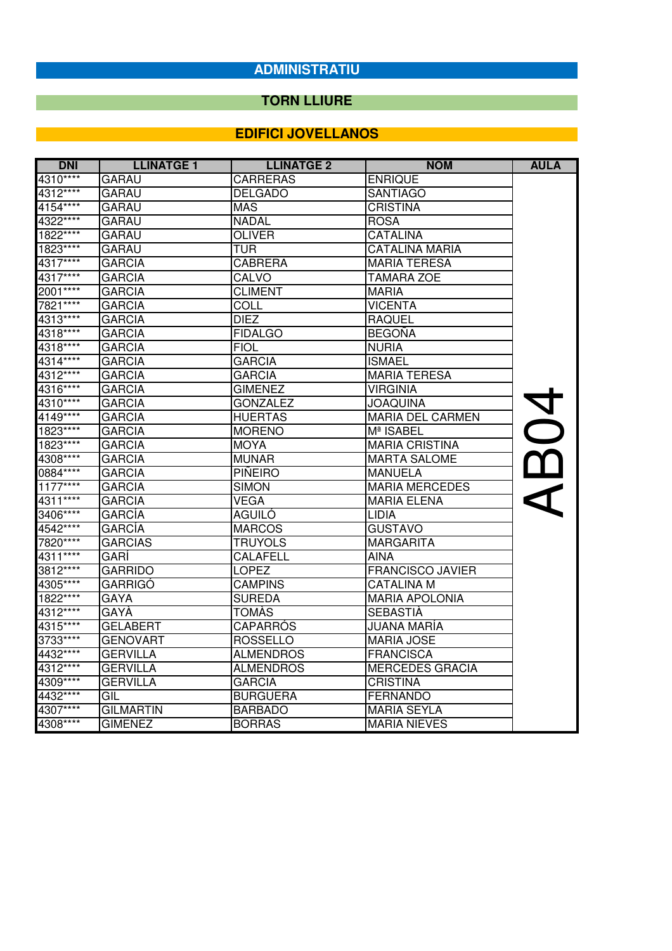## **TORN LLIURE**

| <b>DNI</b> | <b>LLINATGE 1</b> | <b>LLINATGE 2</b> | <b>NOM</b>              | <b>AULA</b> |
|------------|-------------------|-------------------|-------------------------|-------------|
| 4310****   | <b>GARAU</b>      | <b>CARRERAS</b>   | <b>ENRIQUE</b>          |             |
| 4312****   | <b>GARAU</b>      | <b>DELGADO</b>    | <b>SANTIAGO</b>         |             |
| 4154****   | GARAU             | <b>MAS</b>        | <b>CRISTINA</b>         |             |
| 4322****   | <b>GARAU</b>      | <b>NADAL</b>      | <b>ROSA</b>             |             |
| 1822****   | <b>GARAU</b>      | <b>OLIVER</b>     | <b>CATALINA</b>         |             |
| 1823 ****  | <b>GARAU</b>      | <b>TUR</b>        | <b>CATALINA MARIA</b>   |             |
| 4317****   | <b>GARCIA</b>     | <b>CABRERA</b>    | <b>MARIA TERESA</b>     |             |
| 4317****   | <b>GARCIA</b>     | CALVO             | <b>TAMARA ZOE</b>       |             |
| 2001****   | <b>GARCIA</b>     | <b>CLIMENT</b>    | <b>MARIA</b>            |             |
| 7821****   | <b>GARCIA</b>     | COLL              | <b>VICENTA</b>          |             |
| 4313****   | <b>GARCIA</b>     | <b>DIEZ</b>       | <b>RAQUEL</b>           |             |
| 4318****   | <b>GARCIA</b>     | <b>FIDALGO</b>    | <b>BEGOÑA</b>           |             |
| 4318****   | <b>GARCIA</b>     | <b>FIOL</b>       | <b>NURIA</b>            |             |
| 4314****   | <b>GARCIA</b>     | GARCIA            | <b>ISMAEL</b>           |             |
| 4312****   | <b>GARCIA</b>     | <b>GARCIA</b>     | MARIA TERESA            |             |
| 4316****   | <b>GARCIA</b>     | <b>GIMENEZ</b>    | <b>VIRGINIA</b>         |             |
| 4310****   | <b>GARCIA</b>     | <b>GONZALEZ</b>   | <b>ANIUDACU</b>         |             |
| 4149****   | <b>GARCIA</b>     | <b>HUERTAS</b>    | <b>MARIA DEL CARMEN</b> |             |
| 1823****   | <b>GARCIA</b>     | <b>MORENO</b>     | Mª ISABEL               | 20          |
| 1823****   | <b>GARCIA</b>     | <b>MOYA</b>       | <b>MARIA CRISTINA</b>   |             |
| 4308****   | <b>GARCIA</b>     | <b>MUNAR</b>      | <b>MARTA SALOME</b>     | AB          |
| 0884****   | <b>GARCIA</b>     | <b>PIÑEIRO</b>    | <b>MANUELA</b>          |             |
| $1177***$  | <b>GARCIA</b>     | <b>SIMON</b>      | <b>MARIA MERCEDES</b>   |             |
| 4311****   | <b>GARCIA</b>     | <b>VEGA</b>       | <b>MARIA ELENA</b>      |             |
| 3406****   | <b>GARCÍA</b>     | <b>AGUILÓ</b>     | <b>LIDIA</b>            |             |
| 4542****   | <b>GARCÍA</b>     | <b>MARCOS</b>     | <b>GUSTAVO</b>          |             |
| 7820****   | <b>GARCIAS</b>    | <b>TRUYOLS</b>    | <b>MARGARITA</b>        |             |
| 4311****   | GARÍ              | <b>CALAFELL</b>   | <b>AINA</b>             |             |
| 3812****   | <b>GARRIDO</b>    | <b>LOPEZ</b>      | <b>FRANCISCO JAVIER</b> |             |
| 4305****   | <b>GARRIGÓ</b>    | <b>CAMPINS</b>    | <b>CATALINA M</b>       |             |
| 1822****   | <b>GAYA</b>       | <b>SUREDA</b>     | <b>MARIA APOLONIA</b>   |             |
| 4312****   | GAYÀ              | <b>TOMÀS</b>      | <b>SEBASTIA</b>         |             |
| 4315****   | <b>GELABERT</b>   | CAPARROS          | JUANA MARIA             |             |
| 3733****   | <b>GENOVART</b>   | <b>ROSSELLO</b>   | <b>MARIA JOSE</b>       |             |
| 4432****   | <b>GERVILLA</b>   | <b>ALMENDROS</b>  | <b>FRANCISCA</b>        |             |
| 4312****   | <b>GERVILLA</b>   | <b>ALMENDROS</b>  | <b>MERCEDES GRACIA</b>  |             |
| 4309****   | <b>GERVILLA</b>   | <b>GARCIA</b>     | <b>CRISTINA</b>         |             |
| 4432****   | GIL               | <b>BURGUERA</b>   | <b>FERNANDO</b>         |             |
| 4307****   | GILMARTIN         | <b>BARBADO</b>    | <b>MARIA SEYLA</b>      |             |
| 4308****   | <b>GIMENEZ</b>    | <b>BORRAS</b>     | <b>MARIA NIEVES</b>     |             |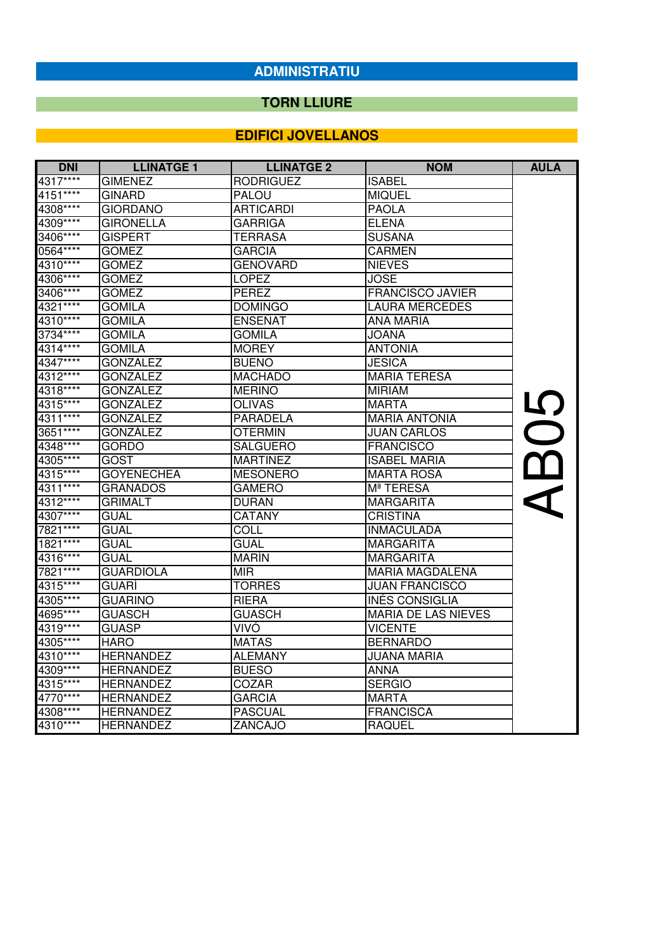#### **TORN LLIURE**

| <b>DNI</b> | <b>LLINATGE 1</b> | <b>LLINATGE 2</b> | <b>NOM</b>                 | <b>AULA</b>          |
|------------|-------------------|-------------------|----------------------------|----------------------|
| 4317****   | <b>GIMENEZ</b>    | <b>RODRIGUEZ</b>  | <b>ISABEL</b>              |                      |
| 4151****   | <b>GINARD</b>     | <b>PALOU</b>      | <b>MIQUEL</b>              |                      |
| 4308****   | <b>GIORDANO</b>   | <b>ARTICARDI</b>  | <b>PAOLA</b>               |                      |
| 4309****   | <b>GIRONELLA</b>  | GARRIGA           | <b>ELENA</b>               |                      |
| 3406****   | <b>GISPERT</b>    | TERRASA           | <b>SUSANA</b>              |                      |
| 0564 ****  | <b>GOMEZ</b>      | <b>GARCIA</b>     | <b>CARMEN</b>              |                      |
| 4310****   | <b>GOMEZ</b>      | <b>GENOVARD</b>   | <b>NIEVES</b>              |                      |
| 4306****   | <b>GOMEZ</b>      | <b>LOPEZ</b>      | <b>JOSE</b>                |                      |
| 3406****   | <b>GOMEZ</b>      | <b>PEREZ</b>      | <b>FRANCISCO JAVIER</b>    |                      |
| $4321***$  | <b>GOMILA</b>     | <b>DOMINGO</b>    | <b>LAURA MERCEDES</b>      |                      |
| 4310****   | <b>GOMILA</b>     | <b>ENSEÑAT</b>    | ANA MARÍA                  |                      |
| 3734****   | <b>GOMILA</b>     | <b>GOMILA</b>     | <b>JOANA</b>               |                      |
| 4314****   | <b>GOMILA</b>     | <b>MOREY</b>      | <b>ANTONIA</b>             |                      |
| 4347****   | <b>GONZALEZ</b>   | <b>BUENO</b>      | <b>JESICA</b>              |                      |
| 4312****   | <b>GONZALEZ</b>   | <b>MACHADO</b>    | <b>MARIA TERESA</b>        |                      |
| 4318****   | <b>GONZALEZ</b>   | <b>MERINO</b>     | <b>MIRIAM</b>              |                      |
| 4315****   | <b>GONZALEZ</b>   | <b>OLIVAS</b>     | <b>MARTA</b>               |                      |
| 4311****   | <b>GONZALEZ</b>   | <b>PARADELA</b>   | <b>MARIA ANTONIA</b>       |                      |
| 3651****   | <b>GONZÁLEZ</b>   | OTERMIN           | <b>JUAN CARLOS</b>         | <b>SO</b>            |
| 4348****   | <b>GORDO</b>      | <b>SALGUERO</b>   | <b>FRANCISCO</b>           |                      |
| 4305****   | GOST              | <b>MARTINEZ</b>   | <b>ISABEL MARIA</b>        |                      |
| 4315****   | <b>GOYENECHEA</b> | <b>MESONERO</b>   | <b>MARTA ROSA</b>          | $\mathbf{\Omega}$    |
| 4311****   | <b>GRANADOS</b>   | <b>GAMERO</b>     | Mª TERESA                  | $\blacktriangleleft$ |
| 4312****   | <b>GRIMALT</b>    | <b>DURAN</b>      | <b>MARGARITA</b>           |                      |
| 4307****   | <b>GUAL</b>       | <b>CATANY</b>     | <b>CRISTINA</b>            |                      |
| 7821****   | GUAL              | <b>COLL</b>       | <b>INMACULADA</b>          |                      |
| $1821***$  | <b>GUAL</b>       | <b>GUAL</b>       | <b>MARGARITA</b>           |                      |
| 4316****   | <b>GUAL</b>       | <b>MARIN</b>      | <b>MARGARITA</b>           |                      |
| 7821 ****  | <b>GUARDIOLA</b>  | MIR.              | <b>MARIA MAGDALENA</b>     |                      |
| 4315****   | <b>GUARÍ</b>      | <b>TORRES</b>     | <b>JUAN FRANCISCO</b>      |                      |
| 4305****   | <b>GUARINO</b>    | <b>RIERA</b>      | INÉS CONSIGLIA             |                      |
| 4695****   | <b>GUASCH</b>     | <b>GUASCH</b>     | <b>MARIA DE LAS NIEVES</b> |                      |
| 4319****   | <b>GUASP</b>      | VIVÓ              | <b>VICENTE</b>             |                      |
| 4305****   | <b>HARO</b>       | <b>MATAS</b>      | <b>BERNARDO</b>            |                      |
| 4310****   | <b>HERNANDEZ</b>  | <b>ALEMANY</b>    | <b>JUANA MARIA</b>         |                      |
| 4309 ****  | <b>HERNANDEZ</b>  | <b>BUESO</b>      | <b>ANNA</b>                |                      |
| 4315****   | <b>HERNANDEZ</b>  | COZAR             | <b>SERGIO</b>              |                      |
| 4770****   | <b>HERNANDEZ</b>  | <b>GARCIA</b>     | <b>MARTA</b>               |                      |
| 4308****   | <b>HERNANDEZ</b>  | <b>PASCUAL</b>    | <b>FRANCISCA</b>           |                      |
| 4310****   | <b>HERNANDEZ</b>  | ZANCAJO           | <b>RAQUEL</b>              |                      |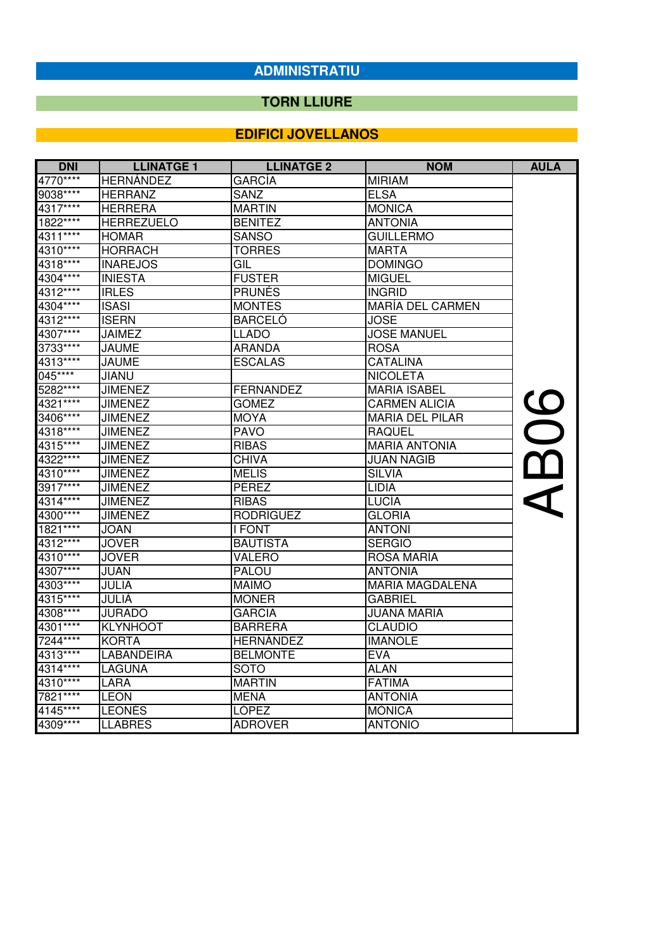## **TORN LLIURE**

| <b>DNI</b> | <b>LLINATGE 1</b> | <b>LLINATGE 2</b> | <b>NOM</b>              | <b>AULA</b> |
|------------|-------------------|-------------------|-------------------------|-------------|
| 4770****   | <b>HERNÁNDEZ</b>  | <b>GARCÍA</b>     | <b>MIRIAM</b>           |             |
| 9038 ****  | <b>HERRANZ</b>    | <b>SANZ</b>       | <b>ELSA</b>             |             |
| 4317****   | <b>HERRERA</b>    | <b>MARTIN</b>     | <b>MONICA</b>           |             |
| 1822****   | <b>HERREZUELO</b> | <b>BENITEZ</b>    | <b>ANTONIA</b>          |             |
| $4311***$  | <b>HOMAR</b>      | <b>SANSO</b>      | <b>GUILLERMO</b>        |             |
| 4310****   | <b>HORRACH</b>    | <b>TORRES</b>     | <b>MARTA</b>            |             |
| 4318****   | <b>INAREJOS</b>   | GIL               | <b>DOMINGO</b>          |             |
| 4304****   | <b>INIESTA</b>    | <b>FUSTER</b>     | <b>MIGUEL</b>           |             |
| 4312****   | <b>IRLES</b>      | <b>PRUNÉS</b>     | INGRID.                 |             |
| 4304****   | <b>ISASI</b>      | <b>MONTES</b>     | <b>MARÍA DEL CARMEN</b> |             |
| 4312****   | <b>ISERN</b>      | <b>BARCELÓ</b>    | <b>JOSE</b>             |             |
| 4307****   | JAIMEZ            | <b>LLADO</b>      | <b>JOSE MANUEL</b>      |             |
| 3733****   | <b>JAUME</b>      | ARANDA            | <b>ROSA</b>             |             |
| 4313****   | <b>JAUME</b>      | <b>ESCALAS</b>    | <b>CATALINA</b>         |             |
| 045****    | JIANU             |                   | <b>NICOLETA</b>         |             |
| 5282****   | <b>JIMENEZ</b>    | <b>FERNANDEZ</b>  | <b>MARIA ISABEL</b>     |             |
| 4321****   | <b>JIMENEZ</b>    | <b>GOMEZ</b>      | <b>CARMEN ALICIA</b>    | <b>AB06</b> |
| 3406****   | <b>JIMENEZ</b>    | <b>MOYA</b>       | <b>MARIA DEL PILAR</b>  |             |
| 4318****   | <b>JIMENEZ</b>    | <b>PAVO</b>       | <b>RAQUEL</b>           |             |
| 4315****   | <b>JIMENEZ</b>    | <b>RIBAS</b>      | <b>MARIA ANTONIA</b>    |             |
| 4322****   | <b>JIMÉNEZ</b>    | <b>CHIVA</b>      | <b>JUAN NAGIB</b>       |             |
| 4310****   | <b>JIMÉNEZ</b>    | <b>MELIS</b>      | <b>SILVIA</b>           |             |
| 3917****   | <b>JIMENEZ</b>    | PÉREZ             | <b>LIDIA</b>            |             |
| 4314****   | <b>JIMÉNEZ</b>    | <b>RIBAS</b>      | LUCÍA                   |             |
| 4300****   | <b>JIMÉNEZ</b>    | <b>RODRÍGUEZ</b>  | GLORIA                  |             |
| $1821***$  | <b>JOAN</b>       | I FONT            | <b>ANTONI</b>           |             |
| 4312****   | <b>JOVER</b>      | <b>BAUTISTA</b>   | <b>SERGIO</b>           |             |
| 4310****   | <b>JOVER</b>      | <b>VALERO</b>     | ROSA MARÍA              |             |
| 4307****   | JUAN              | <b>PALOU</b>      | <b>ANTONIA</b>          |             |
| 4303****   | JULIA             | <b>MAIMO</b>      | <b>MARIA MAGDALENA</b>  |             |
| 4315****   | JULIÀ             | <b>MONER</b>      | <b>GABRIEL</b>          |             |
| 4308****   | <b>JURADO</b>     | GARCIA            | JUANA MARIA             |             |
| 4301****   | <b>KLYNHOOT</b>   | <b>BARRERA</b>    | <b>CLAUDIO</b>          |             |
| 7244****   | KORTA             | <b>HERNÁNDEZ</b>  | <b>IMANOLE</b>          |             |
| 4313****   | <b>LABANDEIRA</b> | <b>BELMONTE</b>   | <b>EVA</b>              |             |
| 4314****   | LAGUNA            | SOTO              | <b>ALAN</b>             |             |
| 4310****   | <b>LARA</b>       | <b>MARTIN</b>     | <b>FATIMA</b>           |             |
| 7821****   | ILEON             | <b>MENA</b>       | <b>ANTONIA</b>          |             |
| $4145***$  | <b>LEONES</b>     | <b>LÓPEZ</b>      | <b>MONICA</b>           |             |
| 4309****   | <b>LLABRES</b>    | <b>ADROVER</b>    | <b>ANTONIO</b>          |             |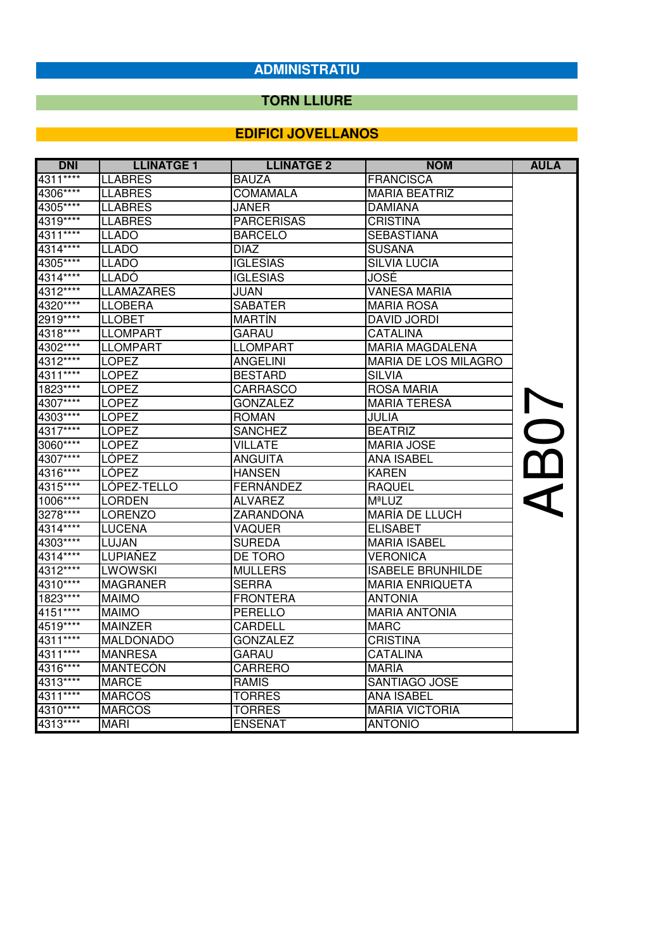## **TORN LLIURE**

| <b>DNI</b> | <b>LLINATGE 1</b> | <b>LLINATGE 2</b> | <b>NOM</b>                  | <b>AULA</b> |
|------------|-------------------|-------------------|-----------------------------|-------------|
| 4311****   | <b>LLABRES</b>    | <b>BAUZA</b>      | <b>FRANCISCA</b>            |             |
| 4306****   | <b>LLABRES</b>    | <b>COMAMALA</b>   | <b>MARIA BEATRIZ</b>        |             |
| 4305****   | <b>LLABRES</b>    | <b>JANER</b>      | <b>DAMIANA</b>              |             |
| 4319 ****  | <b>LLABRES</b>    | <b>PARCERISAS</b> | <b>CRISTINA</b>             |             |
| 4311****   | <b>LLADO</b>      | <b>BARCELO</b>    | <b>SEBASTIANA</b>           |             |
| 4314****   | <b>LLADO</b>      | DIAZ              | <b>SUSANA</b>               |             |
| 4305****   | <b>LLADO</b>      | <b>IGLESIAS</b>   | <b>SILVIA LUCIA</b>         |             |
| 4314****   | ILLADO            | <b>IGLESIAS</b>   | JOSÉ                        |             |
| 4312****   | <b>LLAMAZARES</b> | JUAN              | <b>VANESA MARIA</b>         |             |
| 4320****   | <b>LLOBERA</b>    | <b>SABATER</b>    | <b>MARIA ROSA</b>           |             |
| 2919****   | <b>LLOBET</b>     | <b>MARTÍN</b>     | <b>DAVID JORDI</b>          |             |
| 4318****   | <b>LLOMPART</b>   | <b>GARAU</b>      | <b>CATALINA</b>             |             |
| 4302****   | <b>LLOMPART</b>   | <b>LLOMPART</b>   | <b>MARIA MAGDALENA</b>      |             |
| 4312****   | <b>LOPEZ</b>      | <b>ANGELINI</b>   | <b>MARIA DE LOS MILAGRO</b> |             |
| 4311****   | <b>ILOPEZ</b>     | <b>BESTARD</b>    | <b>SILVIA</b>               |             |
| 1823****   | <b>LOPEZ</b>      | <b>CARRASCO</b>   | <b>ROSA MARIA</b>           |             |
| 4307****   | <b>LOPEZ</b>      | <b>GONZALEZ</b>   | <b>MARIA TERESA</b>         | AB07        |
| 4303****   | <b>LOPEZ</b>      | <b>ROMAN</b>      | JULIA                       |             |
| 4317****   | <b>LOPEZ</b>      | <b>SANCHEZ</b>    | <b>BEATRIZ</b>              |             |
| 3060****   | <b>LOPEZ</b>      | <b>VILLATE</b>    | <b>MARIA JOSE</b>           |             |
| 4307****   | <b>LÓPEZ</b>      | <b>ANGUITA</b>    | <b>ANA ISABEL</b>           |             |
| 4316****   | LÓPEZ             | HANSEN            | <b>KAREN</b>                |             |
| 4315****   | LÓPEZ-TELLO       | <b>FERNÁNDEZ</b>  | <b>RAQUEL</b>               |             |
| 1006****   | <b>LORDEN</b>     | <b>ALVAREZ</b>    | <b>MªLUZ</b>                |             |
| 3278****   | <b>LORENZO</b>    | <b>ZARANDONA</b>  | <b>MARÍA DE LLUCH</b>       |             |
| 4314****   | <b>LUCENA</b>     | VAQUER            | <b>ELISABET</b>             |             |
| 4303****   | LUJAN             | <b>SUREDA</b>     | <b>MARIA ISABEL</b>         |             |
| 4314****   | LUPIAÑEZ          | DE TORO           | <b>VERONICA</b>             |             |
| 4312****   | <b>LWOWSKI</b>    | <b>MULLERS</b>    | <b>ISABELE BRUNHILDE</b>    |             |
| 4310****   | <b>MAGRANER</b>   | <b>SERRA</b>      | <b>MARIA ENRIQUETA</b>      |             |
| 1823****   | <b>MAIMO</b>      | <b>FRONTERA</b>   | <b>ANTONIA</b>              |             |
| 4151****   | <b>MAIMO</b>      | PERELLO           | <b>MARIA ANTONIA</b>        |             |
| 4519****   | <b>MAINZER</b>    | CARDELL           | <b>MARC</b>                 |             |
| 4311****   | <b>MALDONADO</b>  | <b>GONZALEZ</b>   | CRISTINA                    |             |
| 4311****   | <b>MANRESA</b>    | <b>GARAU</b>      | <b>CATALINA</b>             |             |
| 4316****   | <b>MANTECÓN</b>   | <b>CARRERO</b>    | <b>MARÍA</b>                |             |
| 4313****   | <b>MARCE</b>      | <b>RAMIS</b>      | SANTIAGO JOSE               |             |
| 4311****   | <b>MARCOS</b>     | <b>TORRES</b>     | <b>ANA ISABEL</b>           |             |
| 4310****   | <b>MARCOS</b>     | <b>TORRES</b>     | <b>MARIA VICTORIA</b>       |             |
| 4313****   | <b>MARI</b>       | <b>ENSEÑAT</b>    | <b>ANTONIO</b>              |             |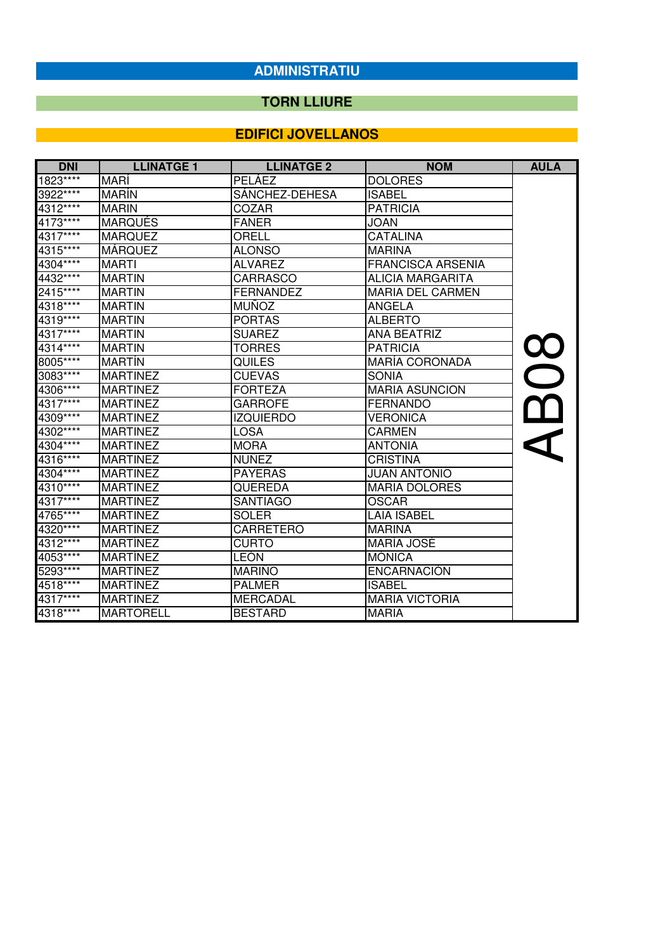## **TORN LLIURE**

| <b>DNI</b> | <b>LLINATGE 1</b> | <b>LLINATGE 2</b> | <b>NOM</b>               | <b>AULA</b> |
|------------|-------------------|-------------------|--------------------------|-------------|
| 1823 ****  | <b>MARI</b>       | <b>PELÁEZ</b>     | <b>DOLORES</b>           |             |
| 3922****   | <b>MARIN</b>      | SÁNCHEZ-DEHESA    | <b>ISABEL</b>            |             |
| 4312****   | <b>MARIN</b>      | COZAR             | <b>PATRICIA</b>          |             |
| 4173****   | <b>MARQUÉS</b>    | <b>FANER</b>      | JOAN                     |             |
| 4317****   | <b>MARQUEZ</b>    | ORELL             | CATALINA                 |             |
| 4315****   | <b>MÁRQUEZ</b>    | <b>ALONSO</b>     | <b>MARINA</b>            |             |
| 4304****   | <b>MARTI</b>      | <b>ALVAREZ</b>    | <b>FRANCISCA ARSENIA</b> |             |
| 4432****   | <b>MARTIN</b>     | <b>CARRASCO</b>   | <b>ALICIA MARGARITA</b>  |             |
| 2415****   | <b>MARTIN</b>     | <b>FERNANDEZ</b>  | <b>MARIA DEL CARMEN</b>  |             |
| 4318****   | <b>MARTIN</b>     | <b>MUÑOZ</b>      | ANGELA                   |             |
| 4319 ****  | <b>MARTIN</b>     | <b>PORTAS</b>     | <b>ALBERTO</b>           |             |
| 4317****   | <b>MARTIN</b>     | <b>SUAREZ</b>     | <b>ANA BEATRIZ</b>       |             |
| 4314****   | <b>MARTIN</b>     | <b>TORRES</b>     | <b>PATRICIA</b>          |             |
| 8005****   | <b>MARTIN</b>     | <b>QUILES</b>     | <b>MARÍA CORONADA</b>    |             |
| 3083****   | <b>MARTINEZ</b>   | <b>CUEVAS</b>     | <b>SONIA</b>             |             |
| 4306****   | <b>MARTINEZ</b>   | <b>FORTEZA</b>    | <b>MARIA ASUNCION</b>    |             |
| 4317****   | <b>MARTINEZ</b>   | <b>GARROFE</b>    | <b>FERNANDO</b>          |             |
| 4309****   | <b>MARTINEZ</b>   | <b>IZQUIERDO</b>  | <b>VERONICA</b>          |             |
| 4302****   | <b>MARTINEZ</b>   | <b>LOSA</b>       | <b>CARMEN</b>            |             |
| 4304****   | <b>MARTINEZ</b>   | <b>MORA</b>       | <b>ANTONIA</b>           |             |
| 4316****   | <b>MARTINEZ</b>   | <b>NUÑEZ</b>      | <b>CRISTINA</b>          |             |
| 4304****   | <b>MARTINEZ</b>   | <b>PAYERAS</b>    | <b>JUAN ANTONIO</b>      |             |
| 4310****   | <b>MARTINEZ</b>   | <b>QUEREDA</b>    | <b>MARIA DOLORES</b>     |             |
| 4317****   | <b>MARTINEZ</b>   | <b>SANTIAGO</b>   | OSCAR                    |             |
| 4765****   | <b>MARTINEZ</b>   | <b>SOLER</b>      | <b>LAIA ISABEL</b>       |             |
| 4320****   | <b>MARTÍNEZ</b>   | <b>CARRETERO</b>  | <b>MARINA</b>            |             |
| 4312****   | <b>MARTÍNEZ</b>   | <b>CURTO</b>      | <b>MARÍA JOSÉ</b>        |             |
| 4053****   | <b>MARTÍNEZ</b>   | <b>LEÓN</b>       | <b>MÓNICA</b>            |             |
| 5293****   | <b>MARTÍNEZ</b>   | <b>MARIÑO</b>     | <b>ENCARNACIÓN</b>       |             |
| 4518****   | <b>MARTÍNEZ</b>   | <b>PALMER</b>     | <b>ISABEL</b>            |             |
| 4317****   | <b>MARTINEZ</b>   | <b>MERCADAL</b>   | <b>MARIA VICTORIA</b>    |             |
| 4318****   | <b>MARTORELL</b>  | <b>BESTARD</b>    | <b>MARIA</b>             |             |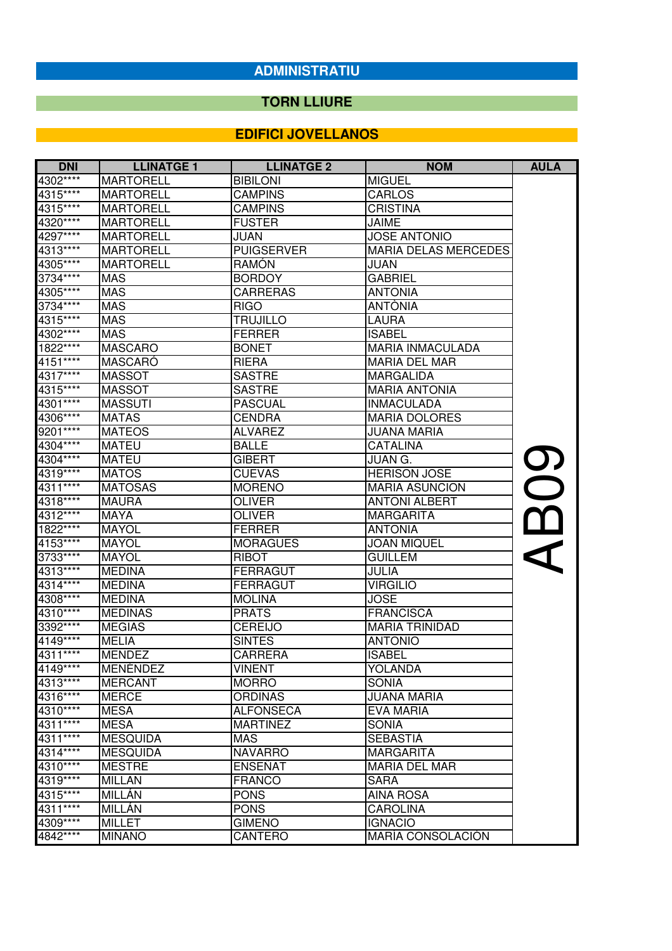## **TORN LLIURE**

| <b>DNI</b> | <b>LLINATGE 1</b> | <b>LLINATGE 2</b> | <b>NOM</b>                  | <b>AULA</b> |
|------------|-------------------|-------------------|-----------------------------|-------------|
| 4302****   | <b>MARTORELL</b>  | <b>BIBILONI</b>   | <b>MIGUEL</b>               |             |
| 4315****   | <b>MARTORELL</b>  | <b>CAMPINS</b>    | <b>CARLOS</b>               |             |
| 4315****   | <b>MARTORELL</b>  | <b>CAMPINS</b>    | <b>CRISTINA</b>             |             |
| 4320****   | <b>MARTORELL</b>  | <b>FUSTER</b>     | <b>JAIME</b>                |             |
| 4297****   | <b>MARTORELL</b>  | JUAN              | <b>JOSE ANTONIO</b>         |             |
| 4313****   | <b>MARTORELL</b>  | <b>PUIGSERVER</b> | <b>MARIA DELAS MERCEDES</b> |             |
| 4305****   | <b>MARTORELL</b>  | <b>RAMÓN</b>      | JUAN                        |             |
| 3734 ****  | <b>MAS</b>        | <b>BORDOY</b>     | <b>GABRIEL</b>              |             |
| 4305****   | <b>MAS</b>        | <b>CARRERAS</b>   | <b>ANTONIA</b>              |             |
| 3734****   | <b>MAS</b>        | <b>RIGO</b>       | <b>ANTÒNIA</b>              |             |
| 4315****   | <b>MAS</b>        | <b>TRUJILLO</b>   | <b>LAURA</b>                |             |
| 4302****   | <b>MAS</b>        | <b>FERRER</b>     | <b>ISABEL</b>               |             |
| 1822****   | <b>MASCARO</b>    | <b>BONET</b>      | <b>MARIA INMACULADA</b>     |             |
| 4151****   | <b>MASCARO</b>    | <b>RIERA</b>      | <b>MARIA DEL MAR</b>        |             |
| 4317****   | <b>MASSOT</b>     | <b>SASTRE</b>     | <b>MARGALIDA</b>            |             |
| $4315***$  | <b>MASSOT</b>     | <b>SASTRE</b>     | <b>MARIA ANTONIA</b>        |             |
| 4301****   | <b>MASSUTI</b>    | <b>PASCUAL</b>    | <b>INMACULADA</b>           |             |
| 4306****   | <b>MATAS</b>      | <b>CENDRA</b>     | <b>MARIA DOLORES</b>        |             |
| 9201****   | <b>MATEOS</b>     | <b>ALVAREZ</b>    | JUANA MARIA                 |             |
| 4304****   | <b>MATEU</b>      | <b>BALLE</b>      | <b>CATALINA</b>             |             |
| 4304****   | <b>MATEU</b>      | <b>GIBERT</b>     | <b>JUAN G.</b>              | 8           |
| 4319****   | <b>MATOS</b>      | <b>CUEVAS</b>     | <b>HERISON JOSE</b>         |             |
| 4311****   | <b>MATOSAS</b>    | <b>MORENO</b>     | <b>MARIA ASUNCION</b>       |             |
| 4318****   | <b>MAURA</b>      | <b>OLIVER</b>     | <b>ANTONI ALBERT</b>        |             |
| 4312****   | <b>MAYA</b>       | <b>OLIVER</b>     | <b>MARGARITA</b>            | <u>በር</u>   |
| 1822****   | <b>MAYOL</b>      | FERRER            | <b>ANTONIA</b>              |             |
| 4153****   | <b>MAYOL</b>      | <b>MORAGUES</b>   | <b>JOAN MIQUEL</b>          |             |
| 3733****   | <b>MAYOL</b>      | <b>RIBOT</b>      | <b>GUILLEM</b>              |             |
| 4313****   | <b>MEDINA</b>     | FERRAGUT          | <b>JULIA</b>                |             |
| 4314****   | <b>MEDINA</b>     | FERRAGUT          | <b>VIRGILIO</b>             |             |
| 4308****   | <b>MEDINA</b>     | <b>MOLINA</b>     | <b>JOSE</b>                 |             |
| 4310****   | <b>MEDINAS</b>    | <b>PRATS</b>      | <b>FRANCISCA</b>            |             |
| 3392 ****  | <b>MEGIAS</b>     | <b>CEREIJO</b>    | <b>MARIA TRINIDAD</b>       |             |
| 4149****   | <b>MELIA</b>      | <b>SINTES</b>     | <b>ANTONIO</b>              |             |
| 4311****   | <b>MENDEZ</b>     | CARRERA           | <b>ISABEL</b>               |             |
| 4149****   | <b>MENENDEZ</b>   | VINENT            | YOLANDA                     |             |
| 4313****   | <b>MERCANT</b>    | <b>MORRO</b>      | <b>SONIA</b>                |             |
| 4316****   | <b>MERCE</b>      | <b>ORDINAS</b>    | <b>JUANA MARIA</b>          |             |
| 4310****   | <b>MESA</b>       | <b>ALFONSECA</b>  | <b>EVA MARIA</b>            |             |
| 4311****   | <b>MESA</b>       | <b>MARTINEZ</b>   | <b>SONIA</b>                |             |
| 4311****   | <b>MESQUIDA</b>   | <b>MAS</b>        | <b>SEBASTIÀ</b>             |             |
| 4314****   | <b>MESQUIDA</b>   | <b>NAVARRO</b>    | <b>MARGARITA</b>            |             |
| 4310****   | <b>MESTRE</b>     | <b>ENSEÑAT</b>    | <b>MARIA DEL MAR</b>        |             |
| 4319****   | <b>MILLAN</b>     | <b>FRANCO</b>     | <b>SARA</b>                 |             |
| 4315****   | <b>MILLÁN</b>     | <b>PONS</b>       | <b>AINA ROSA</b>            |             |
| 4311****   | MILLÁN            | <b>PONS</b>       | <b>CAROLINA</b>             |             |
| 4309****   | <b>MILLET</b>     | <b>GIMENO</b>     | <b>IGNACIO</b>              |             |
| 4842****   | <b>MIÑANO</b>     | CANTERO           | MARÍA CONSOLACIÓN           |             |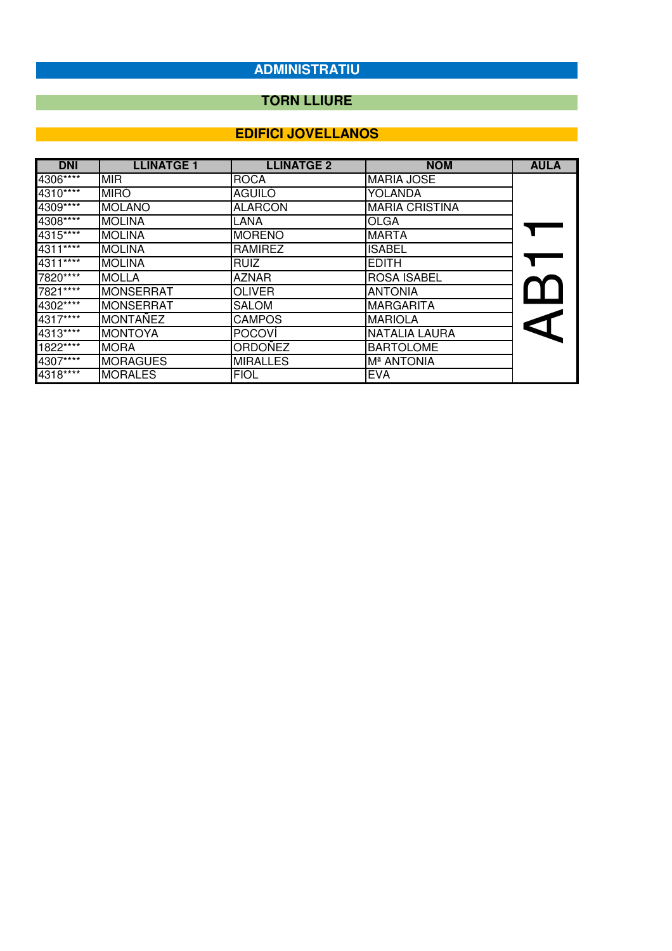## **TORN LLIURE**

| <b>DNI</b> | <b>LLINATGE 1</b> | <b>LLINATGE 2</b> | <b>NOM</b>            | <b>AULA</b>          |
|------------|-------------------|-------------------|-----------------------|----------------------|
| 4306****   | <b>MIR</b>        | <b>ROCA</b>       | <b>MARIA JOSE</b>     |                      |
| $4310***$  | <b>MIRÓ</b>       | AGUILÓ            | YOLANDA               |                      |
| 4309****   | <b>MOLANO</b>     | <b>ALARCON</b>    | <b>MARIA CRISTINA</b> |                      |
| 4308****   | <b>MOLINA</b>     | LANA              | <b>OLGA</b>           |                      |
| 4315****   | <b>MOLINA</b>     | <b>MORENO</b>     | <b>MARTA</b>          |                      |
| $4311***$  | <b>MOLINA</b>     | <b>RAMIREZ</b>    | <b>ISABEL</b>         |                      |
| 4311****   | <b>MOLINA</b>     | <b>RUIZ</b>       | <b>EDITH</b>          |                      |
| 7820****   | <b>MOLLA</b>      | <b>AZNAR</b>      | <b>ROSA ISABEL</b>    |                      |
| 7821****   | <b>MONSERRAT</b>  | <b>OLIVER</b>     | <b>ANTONIA</b>        |                      |
| $4302***$  | <b>MONSERRAT</b>  | <b>SALOM</b>      | <b>MARGARITA</b>      |                      |
| $4317***$  | <b>MONTAÑEZ</b>   | <b>CAMPOS</b>     | <b>MARIOLA</b>        | $\blacktriangleleft$ |
| 4313****   | <b>MONTOYA</b>    | <b>POCOVÍ</b>     | <b>NATALIA LAURA</b>  |                      |
| $1822***$  | <b>MORA</b>       | ORDOÑEZ           | <b>BARTOLOME</b>      |                      |
| $4307***$  | <b>MORAGUES</b>   | <b>MIRALLES</b>   | Mª ANTONIA            |                      |
| 4318****   | <b>MORALES</b>    | <b>FIOL</b>       | <b>EVA</b>            |                      |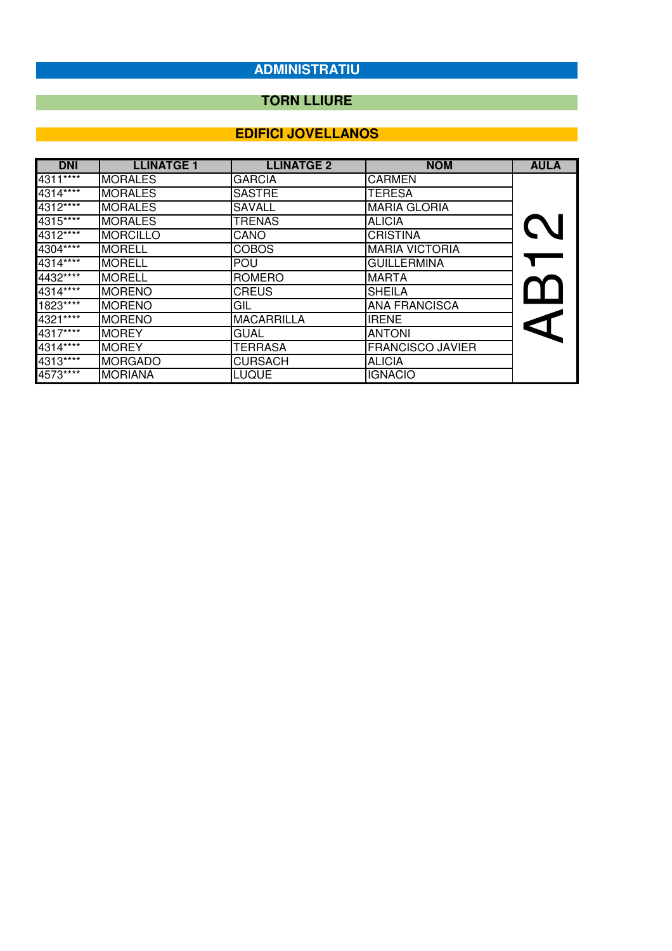## **TORN LLIURE**

| <b>DNI</b> | <b>LLINATGE 1</b> | <b>LLINATGE 2</b> | <b>NOM</b>              | <b>AULA</b>          |
|------------|-------------------|-------------------|-------------------------|----------------------|
| $4311***$  | <b>MORALES</b>    | <b>GARCIA</b>     | <b>CARMEN</b>           |                      |
| 4314****   | <b>MORALES</b>    | <b>SASTRE</b>     | <b>TERESA</b>           |                      |
| $4312***$  | <b>MORALES</b>    | <b>SAVALL</b>     | <b>MARIA GLORIA</b>     |                      |
| 4315****   | <b>MORALES</b>    | <b>TRENAS</b>     | <b>ALICIA</b>           |                      |
| 4312****   | <b>MORCILLO</b>   | CANO              | <b>CRISTINA</b>         |                      |
| 4304****   | <b>MORELL</b>     | <b>COBOS</b>      | <b>MARIA VICTORIA</b>   |                      |
| 4314****   | <b>MORELL</b>     | <b>POU</b>        | <b>GUILLERMINA</b>      |                      |
| 4432****   | <b>MORELL</b>     | <b>ROMERO</b>     | <b>MARTA</b>            |                      |
| 4314****   | <b>MORENO</b>     | <b>CREUS</b>      | <b>SHEILA</b>           |                      |
| $1823***$  | <b>MORENO</b>     | GIL               | <b>ANA FRANCISCA</b>    |                      |
| 4321****   | <b>MORENO</b>     | <b>MACARRILLA</b> | <b>IRENE</b>            | $\blacktriangleleft$ |
| 4317****   | <b>MOREY</b>      | <b>GUAL</b>       | <b>ANTONI</b>           |                      |
| 4314****   | <b>MOREY</b>      | <b>TERRASA</b>    | <b>FRANCISCO JAVIER</b> |                      |
| $4313***$  | <b>MORGADO</b>    | <b>CURSACH</b>    | <b>ALICIA</b>           |                      |
| 4573****   | <b>MORIANA</b>    | <b>LUQUE</b>      | <b>IGNACIO</b>          |                      |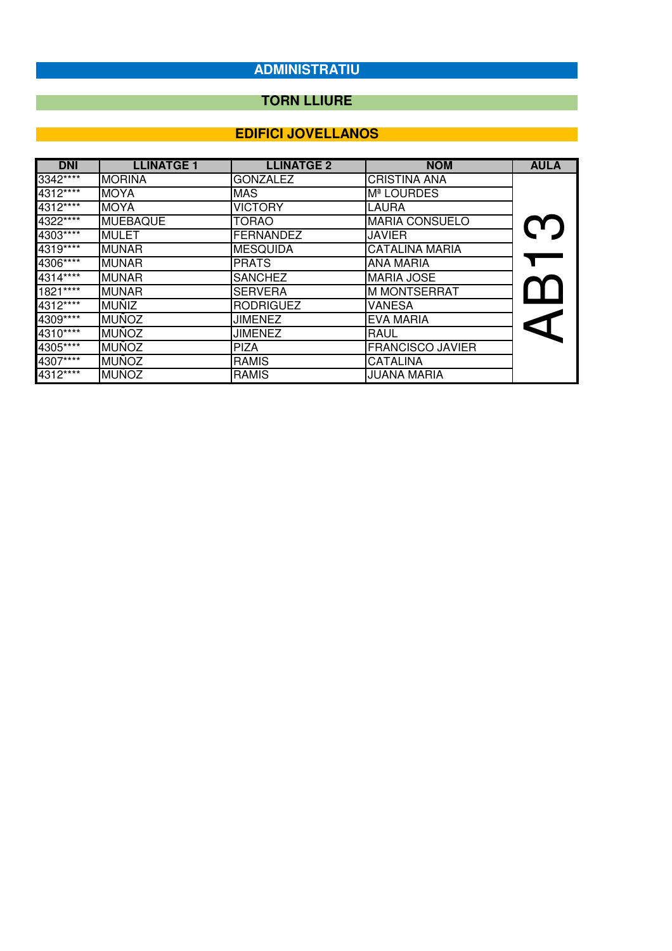## **TORN LLIURE**

| <b>DNI</b> | <b>LLINATGE 1</b> | <b>LLINATGE 2</b> | <b>NOM</b>              | <b>AULA</b>   |
|------------|-------------------|-------------------|-------------------------|---------------|
| 3342****   | <b>MORINA</b>     | <b>GONZALEZ</b>   | <b>CRISTINA ANA</b>     |               |
| $4312***$  | <b>MOYA</b>       | <b>MAS</b>        | M <sup>ª</sup> LOURDES  |               |
| 4312****   | MOYÀ              | <b>VICTORY</b>    | LAURA                   |               |
| 4322****   | MUEBAQUE          | <b>TORAO</b>      | <b>MARIA CONSUELO</b>   |               |
| 4303****   | <b>MULET</b>      | <b>FERNANDEZ</b>  | <b>JAVIER</b>           | $\mathbf C$ . |
| $4319***$  | <b>MUNAR</b>      | <b>MESQUIDA</b>   | <b>CATALINA MARIA</b>   |               |
| 4306****   | <b>MUNAR</b>      | <b>PRATS</b>      | ANA MARIA               |               |
| $4314***$  | <b>MUNAR</b>      | <b>SANCHEZ</b>    | <b>MARIA JOSE</b>       |               |
| $1821***$  | <b>MUNAR</b>      | <b>SERVERA</b>    | <b>M MONTSERRAT</b>     |               |
| 4312****   | <b>MUÑIZ</b>      | <b>RODRIGUEZ</b>  | <b>VANESA</b>           |               |
| $4309***$  | <b>MUÑOZ</b>      | <b>JIMENEZ</b>    | EVA MARIA               |               |
| $4310***$  | <b>MUÑOZ</b>      | <b>JIMENEZ</b>    | <b>RAUL</b>             |               |
| 4305****   | <b>MUÑOZ</b>      | <b>PIZA</b>       | <b>FRANCISCO JAVIER</b> |               |
| 4307****   | <b>MUÑOZ</b>      | <b>RAMIS</b>      | <b>CATALINA</b>         |               |
| 4312****   | <b>MUÑOZ</b>      | <b>RAMIS</b>      | <b>JUANA MARIA</b>      |               |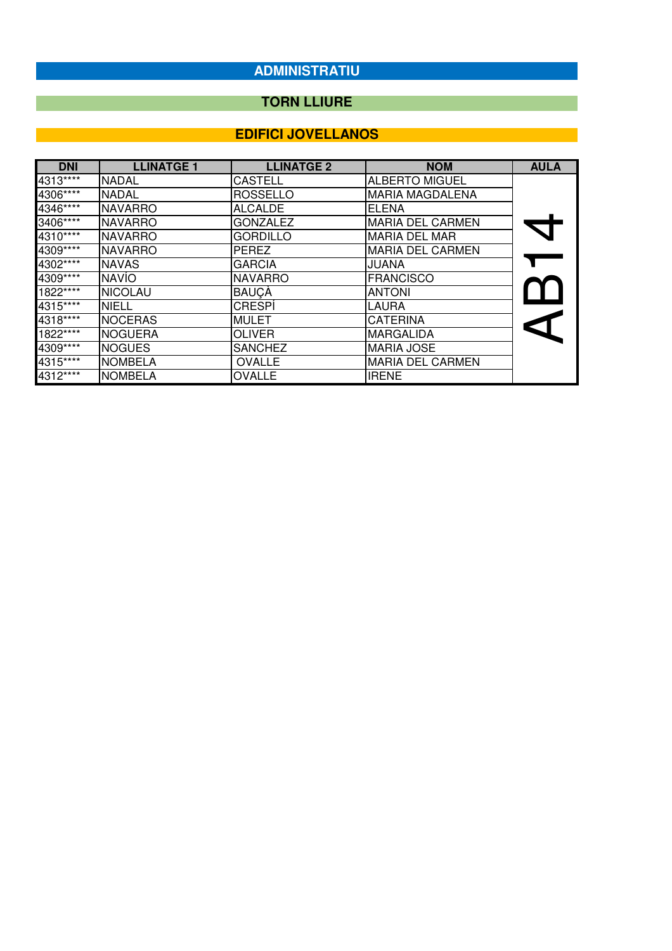## **TORN LLIURE**

| <b>DNI</b>            | <b>LLINATGE 1</b> | <b>LLINATGE 2</b> | <b>NOM</b>              | <b>AULA</b>    |
|-----------------------|-------------------|-------------------|-------------------------|----------------|
| $4313***$             | <b>NADAL</b>      | <b>CASTELL</b>    | <b>ALBERTO MIGUEL</b>   |                |
| $4306 \overline{***}$ | <b>NADAL</b>      | <b>ROSSELLO</b>   | <b>MARIA MAGDALENA</b>  |                |
| $4346***$             | <b>NAVARRO</b>    | <b>ALCALDE</b>    | <b>ELENA</b>            |                |
| 3406****              | <b>NAVARRO</b>    | <b>GONZALEZ</b>   | <b>MARIA DEL CARMEN</b> | $\blacksquare$ |
| $4310***$             | <b>NAVARRO</b>    | <b>GORDILLO</b>   | <b>MARIA DEL MAR</b>    |                |
| 4309****              | <b>NAVARRO</b>    | <b>PEREZ</b>      | <b>MARIA DEL CARMEN</b> |                |
| $4302***$             | <b>NAVAS</b>      | <b>GARCIA</b>     | JUANA                   |                |
| $4309***$             | <b>NAVÍO</b>      | <b>NAVARRO</b>    | <b>FRANCISCO</b>        |                |
| 1822****              | <b>NICOLAU</b>    | <b>BAUÇÀ</b>      | <b>ANTONI</b>           |                |
| 4315****              | <b>NIELL</b>      | <b>CRESPI</b>     | LAURA                   |                |
| $4318***$             | <b>NOCERAS</b>    | <b>MULET</b>      | <b>CATERINA</b>         | $\blacksquare$ |
| $1822***$             | <b>NOGUERA</b>    | <b>OLIVER</b>     | <b>MARGALIDA</b>        |                |
| 4309****              | <b>NOGUES</b>     | <b>SANCHEZ</b>    | <b>MARIA JOSE</b>       |                |
| 4315****              | <b>NOMBELA</b>    | <b>OVALLE</b>     | <b>MARIA DEL CARMEN</b> |                |
| 4312****              | <b>NOMBELA</b>    | <b>OVALLE</b>     | <b>IRENE</b>            |                |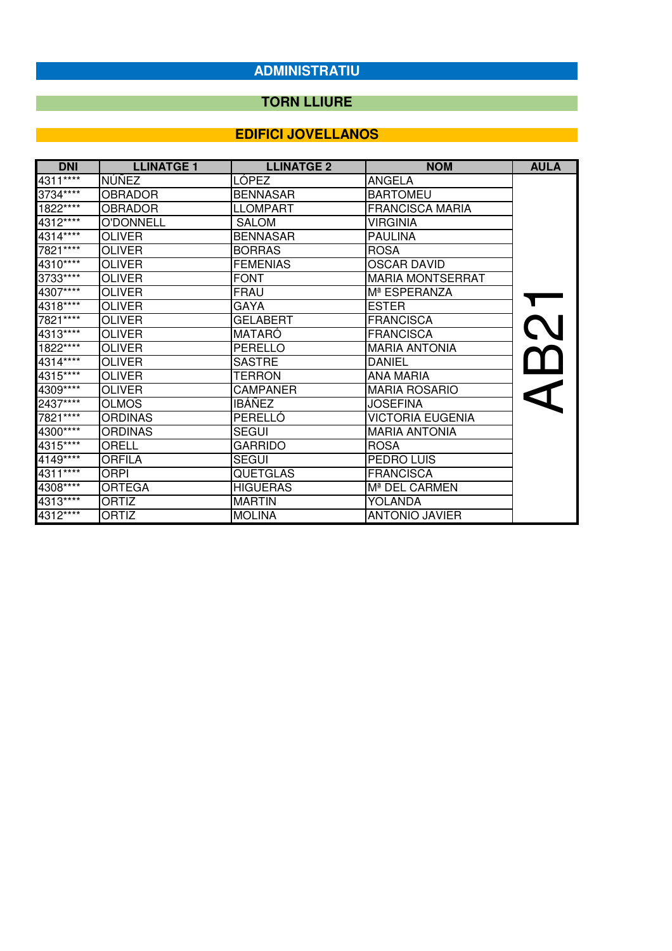## **TORN LLIURE**

| <b>DNI</b> | <b>LLINATGE 1</b> | <b>LLINATGE 2</b> | <b>NOM</b>               | <b>AULA</b> |
|------------|-------------------|-------------------|--------------------------|-------------|
| $4311***$  | NÚÑEZ             | LÓPEZ             | <b>ANGELA</b>            |             |
| 3734****   | <b>OBRADOR</b>    | <b>BENNASAR</b>   | <b>BARTOMEU</b>          |             |
| 1822****   | <b>OBRADOR</b>    | <b>LLOMPART</b>   | <b>FRANCISCA MARIA</b>   |             |
| 4312****   | <b>O'DONNELL</b>  | <b>SALOM</b>      | <b>VIRGINIA</b>          |             |
| 4314****   | <b>OLIVER</b>     | <b>BENNASAR</b>   | <b>PAULINA</b>           |             |
| 7821****   | <b>OLIVER</b>     | <b>BORRAS</b>     | <b>ROSA</b>              |             |
| 4310****   | <b>OLIVER</b>     | <b>FEMENIAS</b>   | <b>OSCAR DAVID</b>       |             |
| 3733****   | <b>OLIVER</b>     | <b>FONT</b>       | <b>MARIA MONTSERRAT</b>  |             |
| 4307****   | <b>OLIVER</b>     | <b>FRAU</b>       | M <sup>ª</sup> ESPERANZA |             |
| 4318****   | <b>OLIVER</b>     | GAYA              | <b>ESTER</b>             |             |
| 7821****   | <b>OLIVER</b>     | <b>GELABERT</b>   | <b>FRANCISCA</b>         |             |
| 4313****   | <b>OLIVER</b>     | MATARÓ            | <b>FRANCISCA</b>         |             |
| 1822****   | OLIVER            | PERELLO           | <b>MARIA ANTONIA</b>     |             |
| 4314****   | <b>OLIVER</b>     | <b>SASTRE</b>     | <b>DANIEL</b>            |             |
| 4315****   | <b>OLIVER</b>     | <b>TERRON</b>     | <b>ANA MARIA</b>         |             |
| 4309****   | <b>OLIVER</b>     | CAMPANER          | <b>MARIA ROSARIO</b>     |             |
| 2437****   | <b>OLMOS</b>      | <b>IBÁÑEZ</b>     | <b>JOSEFINA</b>          |             |
| 7821****   | <b>ORDINAS</b>    | PERELLÓ           | <b>VICTORIA EUGENIA</b>  |             |
| 4300****   | <b>ORDINAS</b>    | <b>SEGUI</b>      | <b>MARIA ANTONIA</b>     |             |
| 4315****   | ORELL             | <b>GARRIDO</b>    | <b>ROSA</b>              |             |
| 4149****   | <b>ORFILA</b>     | <b>SEGUI</b>      | PEDRO LUIS               |             |
| 4311****   | ORPI              | <b>QUETGLAS</b>   | <b>FRANCISCA</b>         |             |
| 4308****   | <b>ORTEGA</b>     | <b>HIGUERAS</b>   | Mª DEL CARMEN            |             |
| $4313***$  | <b>ORTIZ</b>      | <b>MARTIN</b>     | YOLANDA                  |             |
| 4312****   | ORTIZ             | <b>MOLINA</b>     | <b>ANTONIO JAVIER</b>    |             |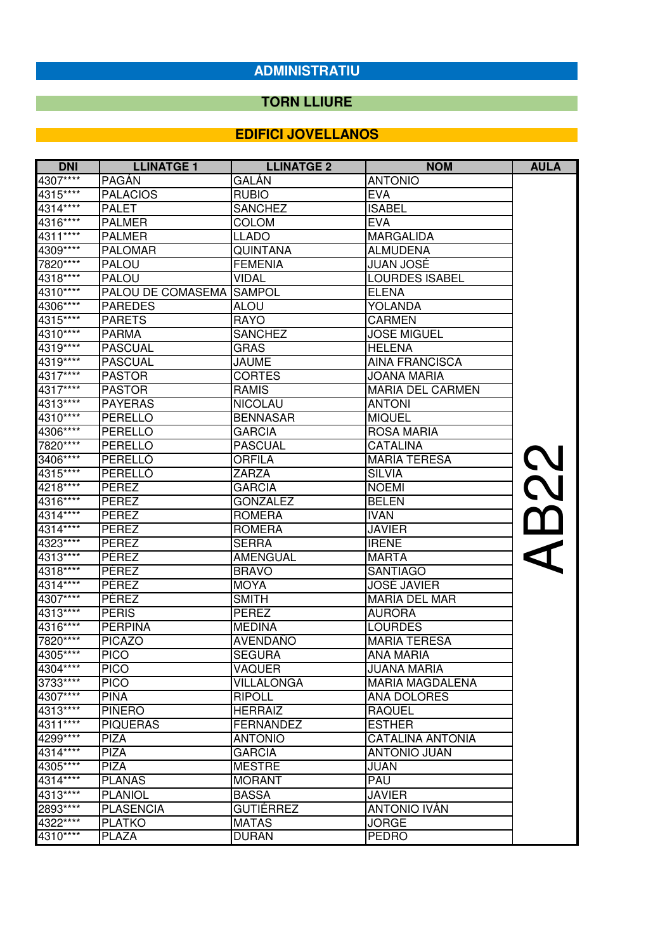## **TORN LLIURE**

| <b>DNI</b> | <b>LLINATGE 1</b>        | <b>LLINATGE 2</b> | <b>NOM</b>              | <b>AULA</b> |
|------------|--------------------------|-------------------|-------------------------|-------------|
| 4307****   | <b>PAGAN</b>             | GALÁN             | <b>ANTONIO</b>          |             |
| 4315****   | <b>PALACIOS</b>          | <b>RUBIO</b>      | <b>EVA</b>              |             |
| 4314****   | PALET                    | <b>SANCHEZ</b>    | <b>ISABEL</b>           |             |
| 4316****   | <b>PALMER</b>            | <b>COLOM</b>      | <b>EVA</b>              |             |
| 4311****   | <b>PALMER</b>            | <b>LLADO</b>      | <b>MARGALIDA</b>        |             |
| 4309****   | <b>PALOMAR</b>           | <b>QUINTANA</b>   | <b>ALMUDENA</b>         |             |
| 7820****   | <b>PALOU</b>             | <b>FEMENIA</b>    | <b>JUAN JOSÉ</b>        |             |
| 4318****   | <b>PALOU</b>             | <b>VIDAL</b>      | <b>LOURDES ISABEL</b>   |             |
| 4310****   | PALOU DE COMASEMA SAMPOL |                   | <b>ELENA</b>            |             |
| 4306****   | <b>PAREDES</b>           | <b>ALOU</b>       | <b>YOLANDA</b>          |             |
| 4315****   | <b>PARETS</b>            | <b>RAYO</b>       | <b>CARMEN</b>           |             |
| 4310****   | <b>PARMA</b>             | <b>SANCHEZ</b>    | <b>JOSE MIGUEL</b>      |             |
| 4319****   | <b>PASCUAL</b>           | <b>GRAS</b>       | <b>HELENA</b>           |             |
| 4319 ****  | <b>PASCUAL</b>           | <b>JAUME</b>      | <b>AINA FRANCISCA</b>   |             |
| $4317***$  | <b>PASTOR</b>            | <b>CORTES</b>     | <b>JOANA MARIA</b>      |             |
| 4317****   | <b>PASTOR</b>            | <b>RAMIS</b>      | <b>MARIA DEL CARMEN</b> |             |
| 4313****   | <b>PAYERAS</b>           | <b>NICOLAU</b>    | <b>ANTONI</b>           |             |
| 4310****   | PERELLO                  | <b>BENNASAR</b>   | <b>MIQUEL</b>           |             |
| 4306****   | PERELLO                  | <b>GARCIA</b>     | <b>ROSA MARIA</b>       |             |
| 7820****   | PERELLO                  | <b>PASCUAL</b>    | CATALINA                |             |
| 3406****   | PERELLO                  | <b>ORFILA</b>     | <b>MARÍA TERESA</b>     | <b>S</b>    |
| 4315****   | PERELLÓ                  | ZARZA             | <b>SILVIA</b>           |             |
| 4218****   | PEREZ                    | <b>GARCIA</b>     | <b>NOEMI</b>            | <b>Q</b>    |
| 4316****   | PEREZ                    | <b>GONZALEZ</b>   | <b>BELEN</b>            |             |
| 4314****   | PEREZ                    | <b>ROMERA</b>     | <b>IVAN</b>             | <u>ጦ</u>    |
| 4314****   | PEREZ                    | <b>ROMERA</b>     | <b>JAVIER</b>           |             |
| 4323****   | PEREZ                    | <b>SERRA</b>      | <b>IRENE</b>            |             |
| 4313****   | PÉREZ                    | AMENGUAL          | <b>MARTA</b>            |             |
| 4318****   | PÉREZ                    | <b>BRAVO</b>      | <b>SANTIAGO</b>         |             |
| 4314****   | PÉREZ                    | <b>MOYA</b>       | <b>JOSÉ JAVIER</b>      |             |
| 4307****   | PÉREZ                    | <b>SMITH</b>      | <b>MARÍA DEL MAR</b>    |             |
| 4313****   | <b>PERIS</b>             | <b>PEREZ</b>      | <b>AURORA</b>           |             |
| 4316****   | PERPIÑA                  | <b>MEDINA</b>     | <b>LOURDES</b>          |             |
| 7820****   | <b>PICAZO</b>            | AVENDAÑO          | <b>MARIA TERESA</b>     |             |
| 4305****   | <b>PICO</b>              | <b>SEGURA</b>     | ANA MARIA               |             |
| 4304****   | <b>PICO</b>              | VAQUER            | <b>JUANA MARIA</b>      |             |
| 3733 ****  | <b>PICO</b>              | VILLALONGA        | <b>MARIA MAGDALENA</b>  |             |
| 4307****   | <b>PIÑA</b>              | <b>RIPOLL</b>     | <b>ANA DOLORES</b>      |             |
| 4313****   | <b>PIÑERO</b>            | <b>HERRAIZ</b>    | <b>RAQUEL</b>           |             |
| 4311****   | <b>PIQUERAS</b>          | FERNANDEZ         | <b>ESTHER</b>           |             |
| 4299 ****  | <b>PIZA</b>              | <b>ANTONIO</b>    | <b>CATALINA ANTONIA</b> |             |
| 4314****   | <b>PIZA</b>              | <b>GARCIA</b>     | <b>ANTONIO JUAN</b>     |             |
| 4305****   | <b>PIZA</b>              | <b>MESTRE</b>     | <b>JUAN</b>             |             |
| $4314***$  | <b>PLANAS</b>            | <b>MORANT</b>     | PAU                     |             |
| 4313****   | <b>PLANIOL</b>           | <b>BASSA</b>      | <b>JAVIER</b>           |             |
| 2893****   | <b>PLASENCIA</b>         | <b>GUTIÉRREZ</b>  | <b>ANTONIO IVAN</b>     |             |
| 4322****   | <b>PLATKO</b>            | <b>MATAS</b>      | <b>JORGE</b>            |             |
| 4310****   | <b>PLAZA</b>             | <b>DURAN</b>      | <b>PEDRO</b>            |             |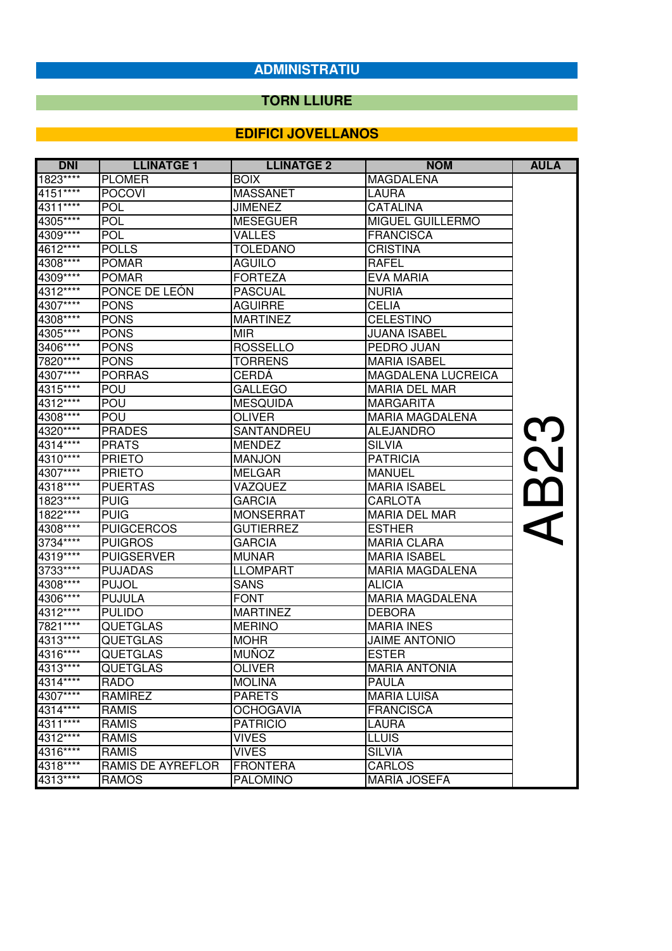## **TORN LLIURE**

| <b>DNI</b>           | <b>LLINATGE 1</b> | <b>LLINATGE 2</b> | <b>NOM</b>             | <b>AULA</b> |
|----------------------|-------------------|-------------------|------------------------|-------------|
| 1823****             | <b>PLOMER</b>     | <b>BOIX</b>       | <b>MAGDALENA</b>       |             |
| 4151****             | <b>POCOVI</b>     | <b>MASSANET</b>   | <b>LAURA</b>           |             |
| 4311****             | <b>POL</b>        | <b>JIMENEZ</b>    | <b>CATALINA</b>        |             |
| 4305****             | <b>POL</b>        | <b>MESEGUER</b>   | MIGUEL GUILLERMO       |             |
| 4309****             | <b>POL</b>        | <b>VALLES</b>     | <b>FRANCISCA</b>       |             |
| 4612****             | <b>POLLS</b>      | <b>TOLEDANO</b>   | <b>CRISTINA</b>        |             |
| 4308****             | <b>POMAR</b>      | <b>AGUILO</b>     | <b>RAFEL</b>           |             |
| 4309****             | <b>POMAR</b>      | <b>FORTEZA</b>    | EVA MARIA              |             |
| 4312****             | PONCE DE LEÓN     | <b>PASCUAL</b>    | <b>NURIA</b>           |             |
| 4307****             | <b>PONS</b>       | <b>AGUIRRE</b>    | <b>CELIA</b>           |             |
| 4308****             | <b>PONS</b>       | <b>MARTINEZ</b>   | <b>CELESTINO</b>       |             |
| 4305****             | <b>PONS</b>       | MIR               | <b>JUANA ISABEL</b>    |             |
| 3406****             | <b>PONS</b>       | <b>ROSSELLO</b>   | PEDRO JUAN             |             |
| 7820****             | <b>PONS</b>       | <b>TORRENS</b>    | <b>MARIA ISABEL</b>    |             |
| 4307****             | <b>PORRAS</b>     | <b>CERDÁ</b>      | MAGDALENA LUCREICA     |             |
| 4315****             | <b>POU</b>        | <b>GALLEGO</b>    | <b>MARIA DEL MAR</b>   |             |
| 4312****             | POU               | <b>MESQUIDA</b>   | <b>MARGARITA</b>       |             |
| 4308****             | <b>POU</b>        | <b>OLIVER</b>     | <b>MARIA MAGDALENA</b> |             |
| 4320****             | <b>PRADES</b>     | SANTANDREU        | <b>ALEJANDRO</b>       | <u>M</u>    |
| $4314***$            | <b>PRATS</b>      | <b>MENDEZ</b>     | <b>SILVIA</b>          |             |
| 4310****             | <b>PRIETO</b>     | <b>MANJON</b>     | <b>PATRICIA</b>        | N           |
| 4307****             | <b>PRIETO</b>     | MELGAR            | <b>MANUEL</b>          |             |
| $4318***$            | <b>PUERTAS</b>    | VAZQUEZ           | <b>MARIA ISABEL</b>    |             |
| 1823****             | <b>PUIG</b>       | <b>GARCIA</b>     | CARLOTA                |             |
| 1822****             | <b>PUIG</b>       | <b>MONSERRAT</b>  | <b>MARIA DEL MAR</b>   |             |
| 4308****             | <b>PUIGCERCOS</b> | <b>GUTIERREZ</b>  | <b>ESTHER</b>          |             |
| 3734****             | <b>PUIGROS</b>    | <b>GARCIA</b>     | <b>MARIA CLARA</b>     |             |
| 4319 ****            | <b>PUIGSERVER</b> | <b>MUNAR</b>      | <b>MARIA ISABEL</b>    |             |
| 3733****             | <b>PUJADAS</b>    | <b>LLOMPART</b>   | <b>MARIA MAGDALENA</b> |             |
| 4308****             | <b>PUJOL</b>      | <b>SANS</b>       | <b>ALICIA</b>          |             |
| 4306****             | <b>PUJULA</b>     | <b>FONT</b>       | <b>MARIA MAGDALENA</b> |             |
| 4312****             | <b>PULIDO</b>     | <b>MARTINEZ</b>   | <b>DEBORA</b>          |             |
| 7821****             | <b>QUETGLAS</b>   | <b>MERINO</b>     | <b>MARIA INES</b>      |             |
| 4313****             | <b>QUETGLAS</b>   | <b>MOHR</b>       | <b>JAIME ANTONIO</b>   |             |
| 4316****<br>4313**** | <b>QUETGLAS</b>   | <b>MUÑOZ</b>      | <b>ESTER</b>           |             |
|                      | <b>QUETGLAS</b>   | <b>OLIVER</b>     | <b>MARIA ANTONIA</b>   |             |
| 4314****             | RADO              | <b>MOLINA</b>     | <b>PAULA</b>           |             |
| 4307****             | RAMÍREZ           | <b>PARETS</b>     | <b>MARIA LUISA</b>     |             |
| 4314****             | RAMIS             | <b>OCHOGAVIA</b>  | <b>FRANCISCA</b>       |             |
| 4311****             | RAMIS             | <b>PATRICIO</b>   | LAURA                  |             |
| 4312****             | <b>RAMIS</b>      | <b>VIVES</b>      | <b>LLUIS</b>           |             |
| 4316****             | <b>RAMIS</b>      | <b>VIVES</b>      | <b>SILVIA</b>          |             |
| 4318****             | RAMIS DE AYREFLOR | <b>FRONTERA</b>   | CARLOS                 |             |
| 4313****             | <b>RAMOS</b>      | <b>PALOMINO</b>   | MARÍA JOSEFA           |             |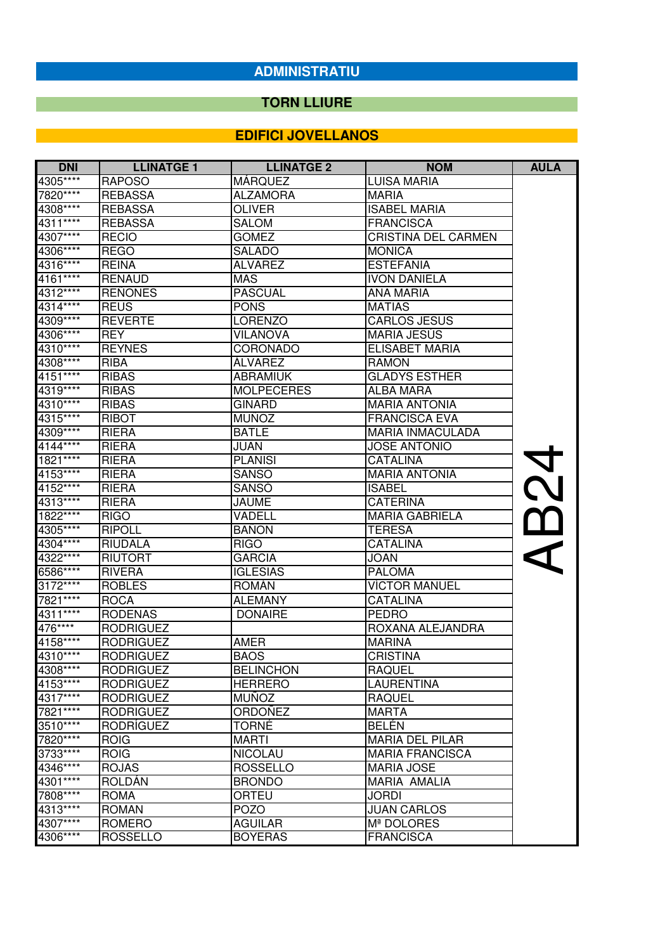#### **TORN LLIURE**

| <b>DNI</b>           | <b>LLINATGE 1</b>           | <b>LLINATGE 2</b>             | <b>NOM</b>                       | <b>AULA</b> |
|----------------------|-----------------------------|-------------------------------|----------------------------------|-------------|
| 4305****             | <b>RAPOSO</b>               | <b>MÁRQUEZ</b>                | <b>LUISA MARIA</b>               |             |
| 7820****             | <b>REBASSA</b>              | <b>ALZAMORA</b>               | <b>MARIA</b>                     |             |
| 4308****             | <b>REBASSA</b>              | <b>OLIVER</b>                 | <b>ISABEL MARIA</b>              |             |
| 4311****             | <b>REBASSA</b>              | <b>SALOM</b>                  | <b>FRANCISCA</b>                 |             |
| 4307****             | <b>RECIO</b>                | <b>GOMEZ</b>                  | <b>CRISTINA DEL CARMEN</b>       |             |
| 4306****             | <b>REGO</b>                 | <b>SALADO</b>                 | <b>MONICA</b>                    |             |
| 4316****             | <b>REINA</b>                | <b>ALVAREZ</b>                | <b>ESTEFANIA</b>                 |             |
| 4161****             | <b>RENAUD</b>               | <b>MAS</b>                    | <b>IVON DANIELA</b>              |             |
| 4312****             | <b>REÑONES</b>              | <b>PASCUAL</b>                | <b>ANA MARIA</b>                 |             |
| 4314****             | <b>REUS</b>                 | <b>PONS</b>                   | <b>MATIAS</b>                    |             |
| 4309****             | <b>REVERTE</b>              | LORENZO                       | <b>CARLOS JESUS</b>              |             |
| 4306****             | <b>REY</b>                  | <b>VILANOVA</b>               | MARIA JESÚS                      |             |
| 4310****             | <b>REYNES</b>               | <b>CORONADO</b>               | ELISABET MARIA                   |             |
| 4308****             | <b>RIBA</b>                 | <b>ÁLVAREZ</b>                | RAMON                            |             |
| 4151****             | <b>RIBAS</b>                | <b>ABRAMIUK</b>               | <b>GLADYS ESTHER</b>             |             |
| 4319****             | <b>RIBAS</b>                | <b>MOLPECERES</b>             | <b>ALBA MARA</b>                 |             |
| 4310****             | <b>RIBAS</b>                | <b>GINARD</b>                 | <b>MARIA ANTONIA</b>             |             |
| 4315****             | <b>RIBOT</b>                | <b>MUNOZ</b>                  | <b>FRANCISCA EVA</b>             |             |
| 4309****             | <b>RIERA</b>                | <b>BATLE</b>                  | <b>MARIA INMACULADA</b>          |             |
| $4144***$            | <b>RIERA</b>                | JUAN                          | <b>JOSE ANTONIO</b>              |             |
| 1821****             | <b>RIERA</b>                | <b>PLANISI</b>                | <b>CATALINA</b>                  | <b>NO</b>   |
| 4153****             | <b>RIERA</b>                | <b>SANSO</b>                  | <b>MARIA ANTONIA</b>             |             |
| 4152****             | <b>RIERA</b>                | <b>SANSÓ</b>                  | <b>ISABEL</b>                    |             |
| 4313****             | <b>RIERA</b>                | JAUME                         | <b>CATERINA</b>                  |             |
| 1822****             | <b>RIGO</b>                 | VADELL                        | <b>MARIA GABRIELA</b>            | $\alpha$    |
| 4305****             | <b>RIPOLL</b>               | <b>BANON</b>                  | <b>TERESA</b>                    |             |
| 4304****             | <b>RIUDALA</b>              | <b>RIGO</b>                   | <b>CATALINA</b>                  |             |
| 4322****             | <b>RIUTORT</b>              | <b>GARCIA</b>                 | <b>JOAN</b>                      |             |
| 6586****             | <b>RIVERA</b>               | <b>IGLESIAS</b>               | <b>PALOMA</b>                    |             |
| 3172****             | <b>ROBLES</b>               | <b>ROMÁN</b>                  | <b>VÍCTOR MANUEL</b>             |             |
| 7821****             | <b>ROCA</b>                 | <b>ALEMANY</b>                | CATALINA                         |             |
| 4311****             | <b>RODENAS</b>              | <b>DONAIRE</b>                | <b>PEDRO</b>                     |             |
| 476****              | <b>RODRIGUEZ</b>            |                               | ROXANA ALEJANDRA                 |             |
| 4158****             | <b>RODRIGUEZ</b>            | AMER                          | <b>MARINA</b>                    |             |
| 4310****             | <b>RODRIGUEZ</b>            | <b>BAOS</b>                   | <b>CRISTINA</b>                  |             |
| 4308****             | RODRIGUEZ                   | <b>BELINCHON</b>              | RAQUEL                           |             |
| $4153***$            | <b>RODRIGUEZ</b>            | <b>HERRERO</b>                | LAURENTINA                       |             |
| 4317****             | <b>RODRIGUEZ</b>            | <b>MUNOZ</b>                  | <b>RAQUEL</b>                    |             |
| 7821****             | <b>RODRIGUEZ</b>            | ORDOÑEZ                       | <b>MARTA</b>                     |             |
| 3510****<br>7820**** | RODRÍGUEZ                   | TORNÉ                         | <b>BELÉN</b>                     |             |
|                      | <b>ROIG</b>                 | <b>MARTI</b>                  | <b>MARIA DEL PILAR</b>           |             |
| 3733****             | <b>ROIG</b>                 | <b>NICOLAU</b>                | <b>MARIA FRANCISCA</b>           |             |
| 4346****<br>4301**** | <b>ROJAS</b>                | <b>ROSSELLO</b>               | <b>MARIA JOSE</b>                |             |
| 7808****             | ROLDÁN                      | <b>BRONDO</b>                 | MARIA AMALIA                     |             |
| 4313****             | <b>ROMA</b><br><b>ROMAN</b> | ORTEU                         | <b>JORDI</b>                     |             |
| 4307****             | <b>ROMERO</b>               | <b>POZO</b><br><b>AGUILAR</b> | <b>JUAN CARLOS</b><br>Mª DOLORES |             |
| 4306****             | <b>ROSSELLO</b>             | <b>BOYERAS</b>                | <b>FRANCISCA</b>                 |             |
|                      |                             |                               |                                  |             |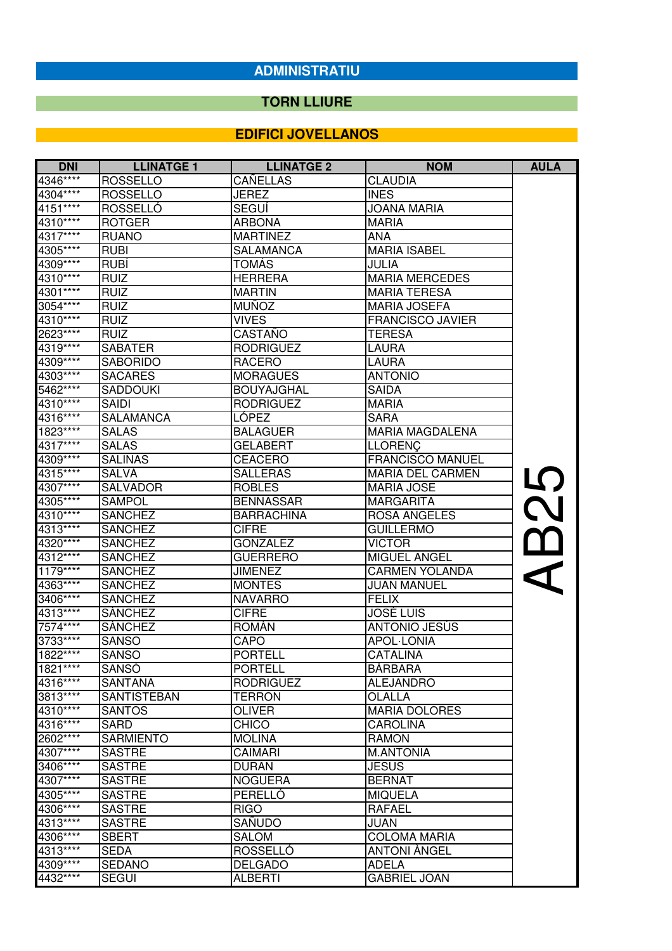#### **TORN LLIURE**

| <b>DNI</b> | <b>LLINATGE 1</b> | <b>LLINATGE 2</b> | <b>NOM</b>              | <b>AULA</b>               |
|------------|-------------------|-------------------|-------------------------|---------------------------|
| 4346****   | <b>ROSSELLO</b>   | <b>CANELLAS</b>   | <b>CLAUDIA</b>          |                           |
| 4304****   | <b>ROSSELLO</b>   | <b>JEREZ</b>      | <b>INES</b>             |                           |
| $4151***$  | ROSSELLÓ          | SEGUI             | <b>JOANA MARIA</b>      |                           |
| 4310****   | <b>ROTGER</b>     | <b>ARBONA</b>     | <b>MARIA</b>            |                           |
| 4317****   | <b>RUANO</b>      | <b>MARTINEZ</b>   | <b>ANA</b>              |                           |
| 4305****   | <b>RUBI</b>       | <b>SALAMANCA</b>  | <b>MARIA ISABEL</b>     |                           |
| 4309****   | <b>RUBÍ</b>       | <b>TOMÁS</b>      | <b>JULIA</b>            |                           |
| 4310****   | <b>RUIZ</b>       | <b>HERRERA</b>    | <b>MARIA MERCEDES</b>   |                           |
| $14301***$ | <b>RUIZ</b>       | <b>MARTIN</b>     | <b>MARIA TERESA</b>     |                           |
| 3054****   | <b>RUIZ</b>       | <b>MUÑOZ</b>      | <b>MARIA JOSEFA</b>     |                           |
| 4310****   | <b>RUIZ</b>       | <b>VIVES</b>      | <b>FRANCISCO JAVIER</b> |                           |
| 2623****   | <b>RUIZ</b>       | CASTAÑO           | <b>TERESA</b>           |                           |
| 4319****   | <b>SABATER</b>    | <b>RODRIGUEZ</b>  | <b>LAURA</b>            |                           |
| 4309****   | <b>SABORIDO</b>   | <b>RACERO</b>     | LAURA                   |                           |
| 4303****   | <b>SACARES</b>    | <b>MORAGUES</b>   | <b>ANTONIO</b>          |                           |
| 5462****   | <b>SADDOUKI</b>   | <b>BOUYAJGHAL</b> | <b>SAIDA</b>            |                           |
| 4310****   | <b>SAIDI</b>      | <b>RODRIGUEZ</b>  | <b>MARIA</b>            |                           |
| 4316****   | SALAMANCA         | LÓPEZ             | <b>SARA</b>             |                           |
| $1823***$  | <b>SALAS</b>      | <b>BALAGUER</b>   | <b>MARIA MAGDALENA</b>  |                           |
| 4317****   | <b>SALAS</b>      | <b>GELABERT</b>   | <b>LLORENÇ</b>          |                           |
| 4309****   | <b>SALINAS</b>    | <b>CEACERO</b>    | <b>FRANCISCO MANUEL</b> |                           |
| 4315****   | SALVÁ             | <b>SALLERAS</b>   | <b>MARIA DEL CARMEN</b> |                           |
| 4307****   | <b>SALVADOR</b>   | <b>ROBLES</b>     | <b>MARIA JOSE</b>       | 5                         |
| 4305****   | <b>SAMPOL</b>     | <b>BENNASSAR</b>  | <b>MARGARITA</b>        |                           |
| 4310****   | <b>SANCHEZ</b>    | <b>BARRACHINA</b> | <b>ROSA ANGELES</b>     | $\boldsymbol{\mathsf{N}}$ |
| 4313****   | <b>SANCHEZ</b>    | <b>CIFRE</b>      | <b>GUILLERMO</b>        |                           |
| 4320****   | <b>SANCHEZ</b>    | <b>GONZALEZ</b>   | <b>VICTOR</b>           | $\Box$                    |
| 4312****   | <b>SANCHEZ</b>    | <b>GUERRERO</b>   | MIGUEL ANGEL            |                           |
| 1179****   | <b>SANCHEZ</b>    | <b>JIMENEZ</b>    | <b>CARMEN YOLANDA</b>   |                           |
| 4363****   | <b>SANCHEZ</b>    | <b>MONTES</b>     | <b>JUAN MANUEL</b>      |                           |
| 3406****   | <b>SANCHEZ</b>    | <b>NAVARRO</b>    | <b>FELIX</b>            |                           |
| 4313****   | <b>SÁNCHEZ</b>    | <b>CIFRE</b>      | JOSÉ LUIS               |                           |
| 7574****   | <b>SANCHEZ</b>    | <b>ROMÁN</b>      | <b>ANTONIO JESÚS</b>    |                           |
| $3733***$  | <b>SANSO</b>      | CAPO              | <b>APOL-LONIA</b>       |                           |
| 1822****   | <b>SANSO</b>      | <b>PORTELL</b>    | CATALINA                |                           |
| 1821 ****  | <b>SANSÓ</b>      | <b>PORTELL</b>    | <b>BÀRBARA</b>          |                           |
| 4316****   | SANTANA           | <b>RODRIGUEZ</b>  | <b>ALEJANDRO</b>        |                           |
| 3813****   | SANTISTEBAN       | <b>TERRON</b>     | <b>OLALLA</b>           |                           |
| 4310****   | <b>SANTOS</b>     | <b>OLIVER</b>     | <b>MARIA DOLORES</b>    |                           |
| 4316****   | <b>SARD</b>       | <b>CHICO</b>      | <b>CAROLINA</b>         |                           |
| 2602****   | <b>SARMIENTO</b>  | <b>MOLINA</b>     | <b>RAMON</b>            |                           |
| 4307****   | <b>SASTRE</b>     | <b>CAIMARI</b>    | <b>M.ANTONIA</b>        |                           |
| 3406****   | <b>SASTRE</b>     | <b>DURAN</b>      | <b>JESUS</b>            |                           |
| 4307****   | <b>SASTRE</b>     | <b>NOGUERA</b>    | <b>BERNAT</b>           |                           |
| 4305****   | <b>SASTRE</b>     | PERELLÓ           | <b>MIQUELA</b>          |                           |
| 4306****   | <b>SASTRE</b>     | <b>RIGO</b>       | <b>RAFAEL</b>           |                           |
| 4313****   | <b>SASTRE</b>     | SAÑUDO            | <b>JUAN</b>             |                           |
| 4306****   | <b>SBERT</b>      | <b>SALOM</b>      | <b>COLOMA MARIA</b>     |                           |
| 4313****   | <b>SEDA</b>       | ROSSELLO          | <b>ANTONI ANGEL</b>     |                           |
| 4309****   | <b>SEDANO</b>     | <b>DELGADO</b>    | <b>ADELA</b>            |                           |
| 4432****   | <b>SEGUI</b>      | <b>ALBERTI</b>    | <b>GABRIEL JOAN</b>     |                           |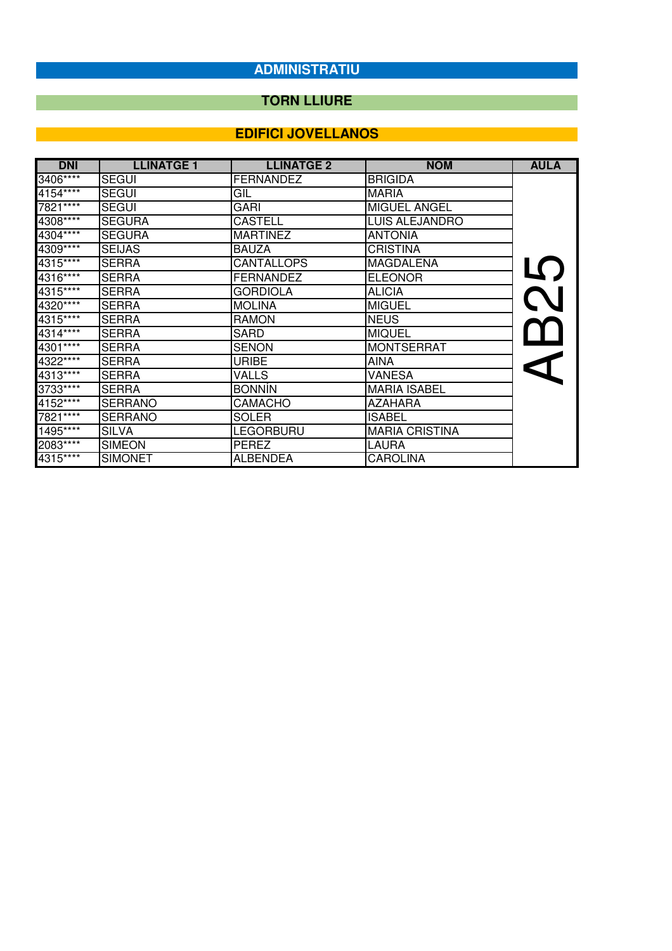## **TORN LLIURE**

| <b>DNI</b> | <b>LLINATGE 1</b> | <b>LLINATGE 2</b> | <b>NOM</b>            | <b>AULA</b> |
|------------|-------------------|-------------------|-----------------------|-------------|
| 3406****   | SEGUI             | <b>FERNANDEZ</b>  | <b>BRIGIDA</b>        |             |
| 4154****   | <b>SEGUI</b>      | GIL               | <b>MARIA</b>          |             |
| 7821****   | SEGUI             | GARI              | <b>MIGUEL ANGEL</b>   |             |
| $4308***$  | <b>SEGURA</b>     | <b>CASTELL</b>    | <b>LUIS ALEJANDRO</b> |             |
| 4304****   | <b>SEGURA</b>     | <b>MARTINEZ</b>   | <b>ANTONIA</b>        |             |
| 4309****   | <b>SEIJAS</b>     | <b>BAUZA</b>      | <b>CRISTINA</b>       |             |
| 4315****   | <b>SERRA</b>      | <b>CANTALLOPS</b> | <b>MAGDALENA</b>      |             |
| 4316****   | <b>SERRA</b>      | <b>FERNANDEZ</b>  | <b>ELEONOR</b>        |             |
| 4315****   | <b>SERRA</b>      | <b>GORDIOLA</b>   | <b>ALICIA</b>         |             |
| 4320****   | <b>SERRA</b>      | <b>MOLINA</b>     | <b>MIGUEL</b>         |             |
| 4315****   | <b>SERRA</b>      | <b>RAMON</b>      | <b>NEUS</b>           |             |
| 4314****   | SERRA             | SARD              | <b>MIQUEL</b>         |             |
| 4301****   | <b>SERRA</b>      | <b>SENON</b>      | <b>MONTSERRAT</b>     |             |
| 4322 ****  | <b>SERRA</b>      | <b>URIBE</b>      | <b>AINA</b>           |             |
| 4313****   | <b>SERRA</b>      | <b>VALLS</b>      | VANESA                |             |
| 3733 ****  | <b>SERRA</b>      | <b>BONNIN</b>     | <b>MARIA ISABEL</b>   |             |
| 4152****   | <b>SERRANO</b>    | <b>CAMACHO</b>    | <b>AZAHARA</b>        |             |
| 7821****   | <b>SERRANO</b>    | <b>SOLER</b>      | <b>ISABEL</b>         |             |
| $1495***$  | <b>SILVA</b>      | <b>LEGORBURU</b>  | <b>MARIA CRISTINA</b> |             |
| 2083****   | <b>SIMEON</b>     | PEREZ             | LAURA                 |             |
| 4315****   | <b>SIMONET</b>    | <b>ALBENDEA</b>   | <b>CAROLINA</b>       |             |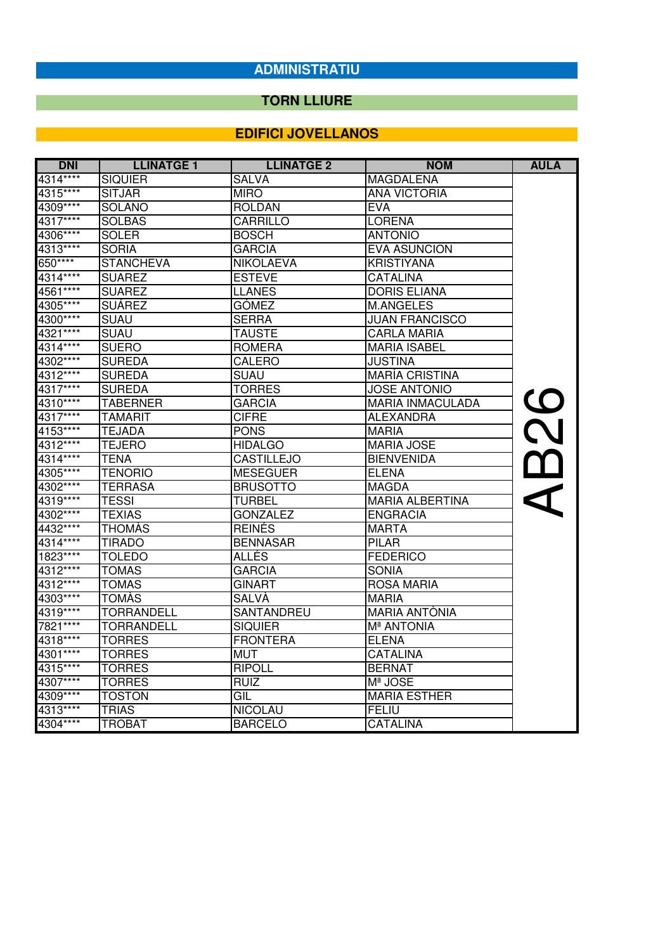## **TORN LLIURE**

| <b>DNI</b> | <b>LLINATGE 1</b> | <b>LLINATGE 2</b> | <b>NOM</b>              | <b>AULA</b>               |
|------------|-------------------|-------------------|-------------------------|---------------------------|
| 4314****   | <b>SIQUIER</b>    | <b>SALVA</b>      | <b>MAGDALENA</b>        |                           |
| 4315****   | <b>SITJAR</b>     | <b>MIRO</b>       | <b>ANA VICTORIA</b>     |                           |
| 4309****   | SOLANO            | ROLDAN            | <b>EVA</b>              |                           |
| 4317****   | <b>SOLBAS</b>     | CARRILLO          | <b>LORENA</b>           |                           |
| 4306****   | <b>SOLER</b>      | <b>BOSCH</b>      | <b>ANTONIO</b>          |                           |
| 4313****   | <b>SORIA</b>      | <b>GARCIA</b>     | <b>EVA ASUNCION</b>     |                           |
| 650****    | <b>STANCHEVA</b>  | <b>NIKOLAEVA</b>  | <b>KRISTIYANA</b>       |                           |
| 4314****   | <b>SUAREZ</b>     | <b>ESTEVE</b>     | <b>CATALINA</b>         |                           |
| 4561****   | <b>SUAREZ</b>     | <b>LLANES</b>     | <b>DORIS ELIANA</b>     |                           |
| 4305****   | <b>SUÁREZ</b>     | <b>GÓMEZ</b>      | M.ANGELES               |                           |
| 4300****   | <b>SUAU</b>       | <b>SERRA</b>      | <b>JUAN FRANCISCO</b>   |                           |
| 4321****   | <b>SUAU</b>       | <b>TAUSTE</b>     | CARLA MARIA             |                           |
| 4314****   | <b>SUERO</b>      | <b>ROMERA</b>     | <b>MARIA ISABEL</b>     |                           |
| 4302****   | <b>SUREDA</b>     | <b>CALERO</b>     | <b>JUSTINA</b>          |                           |
| 4312****   | <b>SUREDA</b>     | <b>SUAU</b>       | <b>MARÍA CRISTINA</b>   |                           |
| 4317****   | <b>SUREDA</b>     | <b>TORRES</b>     | <b>JOSE ANTONIO</b>     |                           |
| 4310****   | <b>TABERNER</b>   | <b>GARCIA</b>     | <b>MARIA INMACULADA</b> | 82                        |
| 4317****   | <b>TAMARIT</b>    | <b>CIFRE</b>      | ALEXANDRA               |                           |
| 4153****   | <b>TEJADA</b>     | <b>PONS</b>       | <b>MARIA</b>            |                           |
| 4312****   | <b>TEJERO</b>     | HIDALGO           | <b>MARIA JOSE</b>       |                           |
| 4314****   | ITENA             | <b>CASTILLEJO</b> | <b>BIENVENIDA</b>       | $\boldsymbol{\mathsf{m}}$ |
| 4305****   | <b>TENORIO</b>    | <b>MESEGUER</b>   | <b>ELENA</b>            |                           |
| 4302****   | <b>TERRASA</b>    | <b>BRUSOTTO</b>   | <b>MAGDA</b>            |                           |
| 4319****   | <b>TESSI</b>      | <b>TURBEL</b>     | <b>MARIA ALBERTINA</b>  | $\blacktriangleleft$      |
| 4302****   | <b>TEXIAS</b>     | <b>GONZALEZ</b>   | <b>ENGRACIA</b>         |                           |
| 4432****   | <b>THOMAS</b>     | <b>REINÉS</b>     | <b>MARTA</b>            |                           |
| 4314****   | <b>TIRADO</b>     | <b>BENNASAR</b>   | <b>PILAR</b>            |                           |
| $1823***$  | <b>TOLEDO</b>     | ALLÉS             | <b>FEDERICO</b>         |                           |
| 4312****   | <b>TOMAS</b>      | <b>GARCIA</b>     | <b>SONIA</b>            |                           |
| 4312****   | <b>TOMAS</b>      | <b>GINART</b>     | <b>ROSA MARIA</b>       |                           |
| 4303****   | <b>TOMAS</b>      | SALVÀ             | <b>MARIA</b>            |                           |
| 4319****   | <b>TORRANDELL</b> | SANTANDREU        | <b>MARIA ANTÒNIA</b>    |                           |
| 7821 ****  | <b>TORRANDELL</b> | SIQUIER           | Mª ANTONIA              |                           |
| 4318****   | <b>TORRES</b>     | <b>FRONTERA</b>   | <b>ELENA</b>            |                           |
| 4301****   | <b>TORRES</b>     | <b>MUT</b>        | <b>CATALINA</b>         |                           |
| 4315****   | <b>TORRES</b>     | <b>RIPOLL</b>     | <b>BERNAT</b>           |                           |
| 4307****   | <b>TORRES</b>     | <b>RUIZ</b>       | Mª JOSE                 |                           |
| 4309****   | <b>TOSTON</b>     | GIL               | <b>MARIA ESTHER</b>     |                           |
| 4313****   | <b>TRIAS</b>      | <b>NICOLAU</b>    | FELIU                   |                           |
| 4304****   | <b>TROBAT</b>     | <b>BARCELO</b>    | <b>CATALINA</b>         |                           |